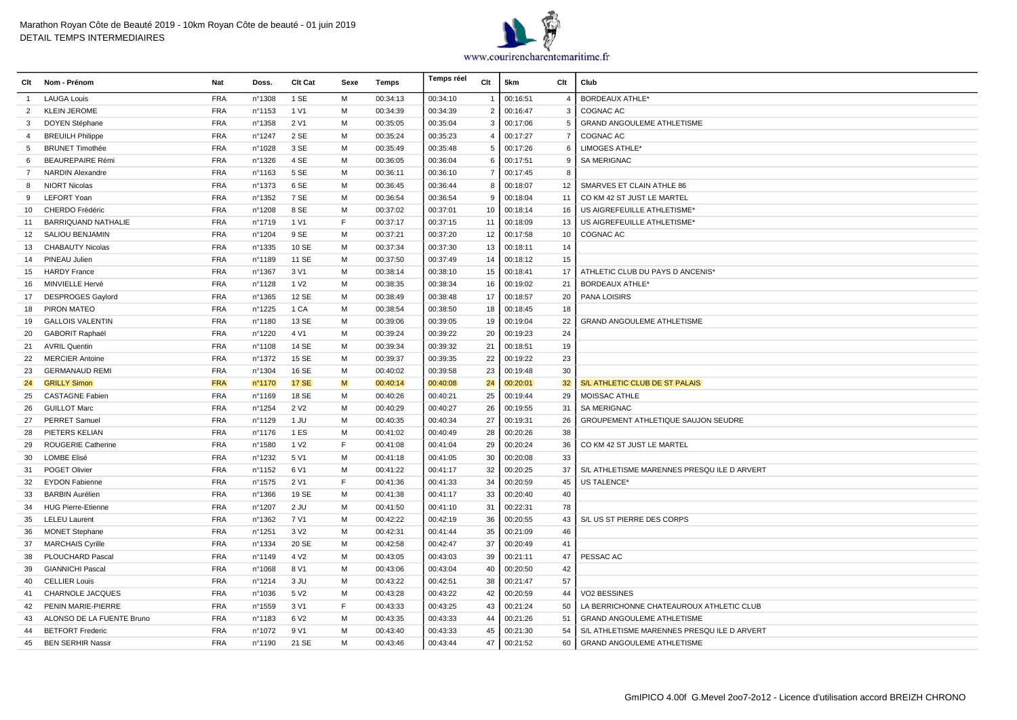

| Clt            | Nom - Prénom               | <b>Nat</b> | Doss.  | Clt Cat          | Sexe | Temps    | Temps réel | Clt            | 5km      | Clt            | Club                                       |
|----------------|----------------------------|------------|--------|------------------|------|----------|------------|----------------|----------|----------------|--------------------------------------------|
| $\mathbf{1}$   | <b>LAUGA Louis</b>         | <b>FRA</b> | n°1308 | 1 SE             | M    | 00:34:13 | 00:34:10   | $\mathbf{1}$   | 00:16:51 | $\overline{4}$ | <b>BORDEAUX ATHLE*</b>                     |
| $\overline{2}$ | <b>KLEIN JEROME</b>        | <b>FRA</b> | n°1153 | 1 V1             | M    | 00:34:39 | 00:34:39   | $\overline{2}$ | 00:16:47 | 3              | COGNAC AC                                  |
| 3              | DOYEN Stéphane             | <b>FRA</b> | n°1358 | 2 V1             | M    | 00:35:05 | 00:35:04   | 3              | 00:17:06 | 5              | <b>GRAND ANGOULEME ATHLETISME</b>          |
| 4              | <b>BREUILH Philippe</b>    | <b>FRA</b> | n°1247 | 2 SE             | M    | 00:35:24 | 00:35:23   | 4              | 00:17:27 | $\overline{7}$ | COGNAC AC                                  |
| 5              | <b>BRUNET Timothée</b>     | <b>FRA</b> | n°1028 | 3 SE             | M    | 00:35:49 | 00:35:48   | 5              | 00:17:26 | 6              | LIMOGES ATHLE*                             |
| 6              | <b>BEAUREPAIRE Rémi</b>    | <b>FRA</b> | n°1326 | 4 SE             | M    | 00:36:05 | 00:36:04   | 6              | 00:17:51 | 9              | <b>SA MERIGNAC</b>                         |
| $\overline{7}$ | NARDIN Alexandre           | <b>FRA</b> | n°1163 | 5 SE             | M    | 00:36:11 | 00:36:10   | $\overline{7}$ | 00:17:45 | -8             |                                            |
| 8              | <b>NIORT Nicolas</b>       | <b>FRA</b> | n°1373 | 6 SE             | M    | 00:36:45 | 00:36:44   | 8              | 00:18:07 | 12             | SMARVES ET CLAIN ATHLE 86                  |
| 9              | <b>LEFORT Yoan</b>         | <b>FRA</b> | n°1352 | 7 SE             | M    | 00:36:54 | 00:36:54   | 9              | 00:18:04 | 11             | CO KM 42 ST JUST LE MARTEL                 |
| 10             | CHERDO Frédéric            | <b>FRA</b> | n°1208 | 8 SE             | M    | 00:37:02 | 00:37:01   | 10             | 00:18:14 | 16             | US AIGREFEUILLE ATHLETISME*                |
| 11             | <b>BARRIQUAND NATHALIE</b> | <b>FRA</b> | n°1719 | 1 V1             | F    | 00:37:17 | 00:37:15   | 11             | 00:18:09 | 13             | US AIGREFEUILLE ATHLETISME*                |
| 12             | <b>SALIOU BENJAMIN</b>     | <b>FRA</b> | n°1204 | 9 SE             | M    | 00:37:21 | 00:37:20   | 12             | 00:17:58 | 10             | COGNAC AC                                  |
| 13             | <b>CHABAUTY Nicolas</b>    | <b>FRA</b> | n°1335 | 10 SE            | M    | 00:37:34 | 00:37:30   | 13             | 00:18:11 | 14             |                                            |
| 14             | PINEAU Julien              | <b>FRA</b> | n°1189 | 11 SE            | M    | 00:37:50 | 00:37:49   | 14             | 00:18:12 | 15             |                                            |
| 15             | <b>HARDY France</b>        | <b>FRA</b> | n°1367 | 3 V1             | M    | 00:38:14 | 00:38:10   | 15             | 00:18:41 | 17             | ATHLETIC CLUB DU PAYS D ANCENIS*           |
| 16             | MINVIELLE Hervé            | <b>FRA</b> | n°1128 | 1 V <sub>2</sub> | M    | 00:38:35 | 00:38:34   | 16             | 00:19:02 | 21             | <b>BORDEAUX ATHLE*</b>                     |
| 17             | <b>DESPROGES Gaylord</b>   | <b>FRA</b> | n°1365 | 12 SE            | M    | 00:38:49 | 00:38:48   | 17             | 00:18:57 | 20             | <b>PANA LOISIRS</b>                        |
| 18             | PIRON MATEO                | <b>FRA</b> | n°1225 | 1 CA             | M    | 00:38:54 | 00:38:50   | 18             | 00:18:45 | 18             |                                            |
| 19             | <b>GALLOIS VALENTIN</b>    | <b>FRA</b> | n°1180 | 13 SE            | M    | 00:39:06 | 00:39:05   | 19             | 00:19:04 | 22             | <b>GRAND ANGOULEME ATHLETISME</b>          |
| 20             | GABORIT Raphaël            | <b>FRA</b> | n°1220 | 4 V1             | M    | 00:39:24 | 00:39:22   | 20             | 00:19:23 | 24             |                                            |
| 21             | <b>AVRIL Quentin</b>       | <b>FRA</b> | n°1108 | 14 SE            | M    | 00:39:34 | 00:39:32   | 21             | 00:18:51 | 19             |                                            |
| 22             | <b>MERCIER Antoine</b>     | <b>FRA</b> | n°1372 | 15 SE            | M    | 00:39:37 | 00:39:35   | 22             | 00:19:22 | 23             |                                            |
| 23             | <b>GERMANAUD REMI</b>      | <b>FRA</b> | n°1304 | 16 SE            | M    | 00:40:02 | 00:39:58   | 23             | 00:19:48 | 30             |                                            |
| 24             | <b>GRILLY Simon</b>        | <b>FRA</b> | n°1170 | <b>17 SE</b>     | M    | 00:40:14 | 00:40:08   | 24             | 00:20:01 | 32             | S/L ATHLETIC CLUB DE ST PALAIS             |
| 25             | <b>CASTAGNE Fabien</b>     | <b>FRA</b> | n°1169 | 18 SE            | M    | 00:40:26 | 00:40:21   | 25             | 00:19:44 | 29             | MOISSAC ATHLE                              |
| 26             | <b>GUILLOT Marc</b>        | <b>FRA</b> | n°1254 | 2 V <sub>2</sub> | M    | 00:40:29 | 00:40:27   | 26             | 00:19:55 | 31             | <b>SA MERIGNAC</b>                         |
| 27             | <b>PERRET Samuel</b>       | <b>FRA</b> | n°1129 | 1 JU             | M    | 00:40:35 | 00:40:34   | 27             | 00:19:31 | 26             | <b>GROUPEMENT ATHLETIQUE SAUJON SEUDRE</b> |
| 28             | PIETERS KELIAN             | <b>FRA</b> | n°1176 | 1 ES             | M    | 00:41:02 | 00:40:49   | 28             | 00:20:26 | 38             |                                            |
| 29             | <b>ROUGERIE Catherine</b>  | <b>FRA</b> | n°1580 | 1 V <sub>2</sub> | F    | 00:41:08 | 00:41:04   | 29             | 00:20:24 | 36             | CO KM 42 ST JUST LE MARTEL                 |
| 30             | <b>LOMBE Elisé</b>         | <b>FRA</b> | n°1232 | 5 V1             | M    | 00:41:18 | 00:41:05   | 30             | 00:20:08 | 33             |                                            |
| 31             | POGET Olivier              | <b>FRA</b> | n°1152 | 6 V1             | M    | 00:41:22 | 00:41:17   | 32             | 00:20:25 | 37             | S/L ATHLETISME MARENNES PRESQUILE D ARVERT |
| 32             | <b>EYDON Fabienne</b>      | <b>FRA</b> | n°1575 | 2 V1             | E    | 00:41:36 | 00:41:33   | 34             | 00:20:59 | 45             | US TALENCE*                                |
| 33             | <b>BARBIN Aurélien</b>     | <b>FRA</b> | n°1366 | 19 SE            | M    | 00:41:38 | 00:41:17   | 33             | 00:20:40 | 40             |                                            |
| 34             | <b>HUG Pierre-Etienne</b>  | <b>FRA</b> | n°1207 | $2$ JU           | M    | 00:41:50 | 00:41:10   | 31             | 00:22:31 | 78             |                                            |
| 35             | <b>LELEU Laurent</b>       | <b>FRA</b> | n°1362 | 7 V1             | M    | 00:42:22 | 00:42:19   | 36             | 00:20:55 | 43             | S/L US ST PIERRE DES CORPS                 |
| 36             | <b>MONET Stephane</b>      | <b>FRA</b> | n°1251 | 3 V <sub>2</sub> | M    | 00:42:31 | 00:41:44   | 35             | 00:21:09 | 46             |                                            |
| 37             | <b>MARCHAIS Cyrille</b>    | <b>FRA</b> | n°1334 | 20 SE            | M    | 00:42:58 | 00:42:47   | 37             | 00:20:49 | 41             |                                            |
| 38             | <b>PLOUCHARD Pascal</b>    | <b>FRA</b> | n°1149 | 4 V <sub>2</sub> | M    | 00:43:05 | 00:43:03   | 39             | 00:21:11 | 47             | PESSAC AC                                  |
| 39             | <b>GIANNICHI Pascal</b>    | <b>FRA</b> | n°1068 | 8 V1             | M    | 00:43:06 | 00:43:04   | 40             | 00:20:50 | 42             |                                            |
| 40             | <b>CELLIER Louis</b>       | <b>FRA</b> | n°1214 | 3 JU             | M    | 00:43:22 | 00:42:51   | 38             | 00:21:47 | 57             |                                            |
| 41             | <b>CHARNOLE JACQUES</b>    | <b>FRA</b> | n°1036 | 5 V <sub>2</sub> | M    | 00:43:28 | 00:43:22   | 42             | 00:20:59 | 44             | <b>VO2 BESSINES</b>                        |
| 42             | PENIN MARIE-PIERRE         | <b>FRA</b> | n°1559 | 3 V1             | F    | 00:43:33 | 00:43:25   | 43             | 00:21:24 | 50             | LA BERRICHONNE CHATEAUROUX ATHLETIC CLUB   |
| 43             | ALONSO DE LA FUENTE Bruno  | <b>FRA</b> | n°1183 | 6 V <sub>2</sub> | M    | 00:43:35 | 00:43:33   | 44             | 00:21:26 | 51             | GRAND ANGOULEME ATHLETISME                 |
| 44             | <b>BETFORT Frederic</b>    | <b>FRA</b> | n°1072 | 9 V1             | M    | 00:43:40 | 00:43:33   | 45             | 00:21:30 | 54             | S/L ATHLETISME MARENNES PRESQUILE D ARVERT |
| 45             | <b>BEN SERHIR Nassir</b>   | <b>FRA</b> | n°1190 | 21 SE            | M    | 00:43:46 | 00:43:44   | 47             | 00:21:52 | 60             | <b>GRAND ANGOULEME ATHLETISME</b>          |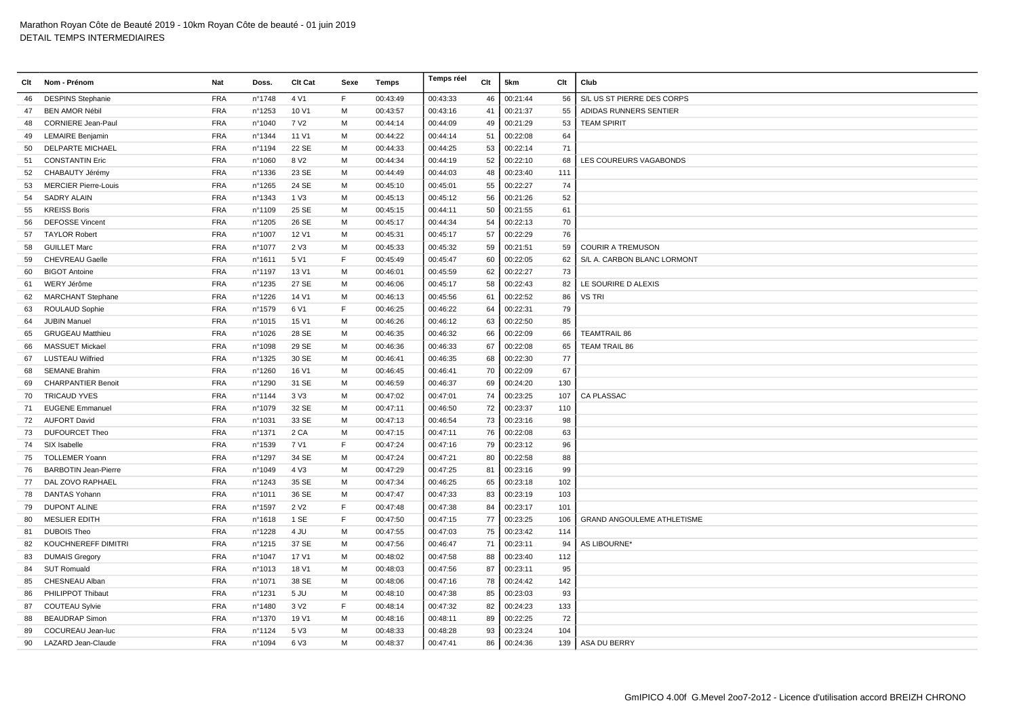| Clt | Nom - Prénom                | Nat        | Doss.  | Clt Cat          | Sexe | Temps    | Temps réel | Clt | 5km      | Clt | Club                              |
|-----|-----------------------------|------------|--------|------------------|------|----------|------------|-----|----------|-----|-----------------------------------|
| 46  | <b>DESPINS Stephanie</b>    | <b>FRA</b> | n°1748 | 4 V1             | F.   | 00:43:49 | 00:43:33   | 46  | 00:21:44 | 56  | S/L US ST PIERRE DES CORPS        |
| 47  | <b>BEN AMOR Nébil</b>       | <b>FRA</b> | n°1253 | 10 V1            | M    | 00:43:57 | 00:43:16   | 41  | 00:21:37 | 55  | ADIDAS RUNNERS SENTIER            |
| 48  | <b>CORNIERE Jean-Paul</b>   | <b>FRA</b> | nº1040 | 7 V <sub>2</sub> | м    | 00:44:14 | 00:44:09   | 49  | 00:21:29 | 53  | <b>TEAM SPIRIT</b>                |
| 49  | <b>LEMAIRE Benjamin</b>     | <b>FRA</b> | nº1344 | 11 V1            | м    | 00:44:22 | 00:44:14   | 51  | 00:22:08 | 64  |                                   |
| 50  | <b>DELPARTE MICHAEL</b>     | <b>FRA</b> | n°1194 | 22 SE            | M    | 00:44:33 | 00:44:25   | 53  | 00:22:14 | 71  |                                   |
| 51  | <b>CONSTANTIN Eric</b>      | <b>FRA</b> | n°1060 | 8 V <sub>2</sub> | M    | 00:44:34 | 00:44:19   | 52  | 00:22:10 | 68  | LES COUREURS VAGABONDS            |
| 52  | CHABAUTY Jérémy             | <b>FRA</b> | n°1336 | 23 SE            | M    | 00:44:49 | 00:44:03   | 48  | 00:23:40 | 111 |                                   |
| 53  | <b>MERCIER Pierre-Louis</b> | <b>FRA</b> | n°1265 | 24 SE            | м    | 00:45:10 | 00:45:01   | 55  | 00:22:27 | 74  |                                   |
| 54  | <b>SADRY ALAIN</b>          | <b>FRA</b> | n°1343 | 1 V3             | м    | 00:45:13 | 00:45:12   | 56  | 00:21:26 | 52  |                                   |
| 55  | <b>KREISS Boris</b>         | <b>FRA</b> | n°1109 | 25 SE            | м    | 00:45:15 | 00:44:11   | 50  | 00:21:55 | 61  |                                   |
| 56  | <b>DEFOSSE Vincent</b>      | FRA        | n°1205 | 26 SE            | M    | 00:45:17 | 00:44:34   | 54  | 00:22:13 | 70  |                                   |
| 57  | <b>TAYLOR Robert</b>        | <b>FRA</b> | n°1007 | 12 V1            | M    | 00:45:31 | 00:45:17   | 57  | 00:22:29 | 76  |                                   |
| 58  | <b>GUILLET Marc</b>         | <b>FRA</b> | nº1077 | 2 V3             | M    | 00:45:33 | 00:45:32   | 59  | 00:21:51 | 59  | <b>COURIR A TREMUSON</b>          |
| 59  | <b>CHEVREAU Gaelle</b>      | <b>FRA</b> | n°1611 | 5 V1             | F    | 00:45:49 | 00:45:47   | 60  | 00:22:05 | 62  | S/L A. CARBON BLANC LORMONT       |
| 60  | <b>BIGOT Antoine</b>        | <b>FRA</b> | n°1197 | 13 V1            | м    | 00:46:01 | 00:45:59   | 62  | 00:22:27 | 73  |                                   |
| 61  | WERY Jérôme                 | <b>FRA</b> | n°1235 | 27 SE            | м    | 00:46:06 | 00:45:17   | 58  | 00:22:43 | 82  | LE SOURIRE D ALEXIS               |
| 62  | <b>MARCHANT Stephane</b>    | <b>FRA</b> | n°1226 | 14 V1            | м    | 00:46:13 | 00:45:56   | 61  | 00:22:52 | 86  | <b>VS TRI</b>                     |
| 63  | ROULAUD Sophie              | <b>FRA</b> | n°1579 | 6 V1             | F    | 00:46:25 | 00:46:22   | 64  | 00:22:31 | 79  |                                   |
| 64  | <b>JUBIN Manuel</b>         | <b>FRA</b> | n°1015 | 15 V1            | м    | 00:46:26 | 00:46:12   | 63  | 00:22:50 | 85  |                                   |
| 65  | <b>GRUGEAU Matthieu</b>     | <b>FRA</b> | n°1026 | 28 SE            | м    | 00:46:35 | 00:46:32   | 66  | 00:22:09 | 66  | <b>TEAMTRAIL 86</b>               |
| 66  | <b>MASSUET Mickael</b>      | <b>FRA</b> | n°1098 | 29 SE            | M    | 00:46:36 | 00:46:33   | 67  | 00:22:08 | 65  | <b>TEAM TRAIL 86</b>              |
| 67  | <b>LUSTEAU Wilfried</b>     | <b>FRA</b> | n°1325 | 30 SE            | M    | 00:46:41 | 00:46:35   | 68  | 00:22:30 | 77  |                                   |
| 68  | <b>SEMANE Brahim</b>        | <b>FRA</b> | nº1260 | 16 V1            | M    | 00:46:45 | 00:46:41   | 70  | 00:22:09 | 67  |                                   |
| 69  | <b>CHARPANTIER Benoit</b>   | <b>FRA</b> | n°1290 | 31 SE            | м    | 00:46:59 | 00:46:37   | 69  | 00:24:20 | 130 |                                   |
| 70  | <b>TRICAUD YVES</b>         | <b>FRA</b> | nº1144 | 3 V3             | м    | 00:47:02 | 00:47:01   | 74  | 00:23:25 | 107 | CA PLASSAC                        |
| 71  | <b>EUGENE Emmanuel</b>      | <b>FRA</b> | n°1079 | 32 SE            | м    | 00:47:11 | 00:46:50   | 72  | 00:23:37 | 110 |                                   |
| 72  | <b>AUFORT David</b>         | <b>FRA</b> | n°1031 | 33 SE            | м    | 00:47:13 | 00:46:54   | 73  | 00:23:16 | 98  |                                   |
| 73  | <b>DUFOURCET Theo</b>       | <b>FRA</b> | n°1371 | 2 CA             | M    | 00:47:15 | 00:47:11   | 76  | 00:22:08 | 63  |                                   |
| 74  | SIX Isabelle                | <b>FRA</b> | n°1539 | 7 V1             | E    | 00:47:24 | 00:47:16   | 79  | 00:23:12 | 96  |                                   |
| 75  | <b>TOLLEMER Yoann</b>       | <b>FRA</b> | n°1297 | 34 SE            | м    | 00:47:24 | 00:47:21   | 80  | 00:22:58 | 88  |                                   |
| 76  | <b>BARBOTIN Jean-Pierre</b> | <b>FRA</b> | n°1049 | 4 V3             | м    | 00:47:29 | 00:47:25   | 81  | 00:23:16 | 99  |                                   |
| 77  | DAL ZOVO RAPHAEL            | <b>FRA</b> | n°1243 | 35 SE            | M    | 00:47:34 | 00:46:25   | 65  | 00:23:18 | 102 |                                   |
| 78  | DANTAS Yohann               | <b>FRA</b> | n°1011 | 36 SE            | м    | 00:47:47 | 00:47:33   | 83  | 00:23:19 | 103 |                                   |
| 79  | <b>DUPONT ALINE</b>         | <b>FRA</b> | n°1597 | 2 V <sub>2</sub> | E    | 00:47:48 | 00:47:38   | 84  | 00:23:17 | 101 |                                   |
| 80  | MESLIER EDITH               | <b>FRA</b> | n°1618 | 1 SE             | E    | 00:47:50 | 00:47:15   | 77  | 00:23:25 | 106 | <b>GRAND ANGOULEME ATHLETISME</b> |
| 81  | <b>DUBOIS Theo</b>          | <b>FRA</b> | n°1228 | 4 JU             | м    | 00:47:55 | 00:47:03   | 75  | 00:23:42 | 114 |                                   |
| 82  | KOUCHNEREFF DIMITRI         | <b>FRA</b> | n°1215 | 37 SE            | M    | 00:47:56 | 00:46:47   | 71  | 00:23:11 | 94  | AS LIBOURNE*                      |
| 83  | <b>DUMAIS Gregory</b>       | <b>FRA</b> | n°1047 | 17 V1            | м    | 00:48:02 | 00:47:58   | 88  | 00:23:40 | 112 |                                   |
| 84  | <b>SUT Romuald</b>          | <b>FRA</b> | n°1013 | 18 V1            | м    | 00:48:03 | 00:47:56   | 87  | 00:23:11 | 95  |                                   |
| 85  | CHESNEAU Alban              | <b>FRA</b> | n°1071 | 38 SE            | M    | 00:48:06 | 00:47:16   | 78  | 00:24:42 | 142 |                                   |
| 86  | PHILIPPOT Thibaut           | <b>FRA</b> | n°1231 | 5 JU             | м    | 00:48:10 | 00:47:38   | 85  | 00:23:03 | 93  |                                   |
| 87  | <b>COUTEAU Sylvie</b>       | <b>FRA</b> | n°1480 | 3 V <sub>2</sub> | F    | 00:48:14 | 00:47:32   | 82  | 00:24:23 | 133 |                                   |
| 88  | <b>BEAUDRAP Simon</b>       | <b>FRA</b> | n°1370 | 19 V1            | M    | 00:48:16 | 00:48:11   | 89  | 00:22:25 | 72  |                                   |
| 89  | COCUREAU Jean-luc           | <b>FRA</b> | nº1124 | 5 V3             | м    | 00:48:33 | 00:48:28   | 93  | 00:23:24 | 104 |                                   |
| 90  | LAZARD Jean-Claude          | <b>FRA</b> | n°1094 | 6 V3             | M    | 00:48:37 | 00:47:41   | 86  | 00:24:36 |     | 139 ASA DU BERRY                  |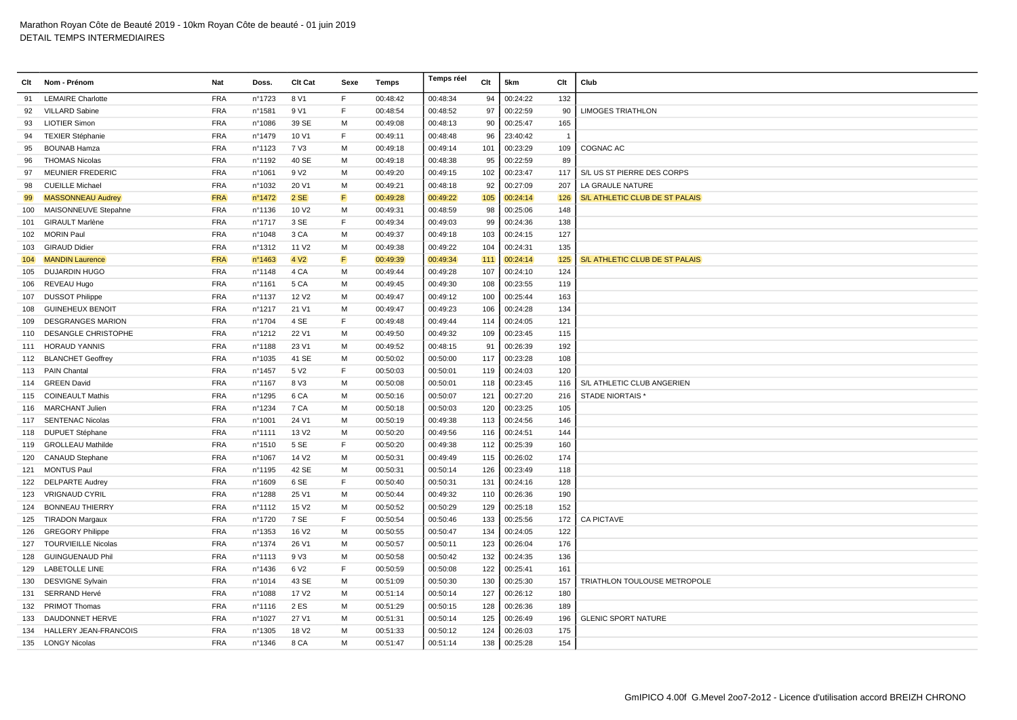| Clt | Nom - Prénom               | Nat        | Doss.  | Clt Cat           | Sexe | <b>Temps</b> | Temps réel | Clt | 5km      | Clt                      | Club                           |
|-----|----------------------------|------------|--------|-------------------|------|--------------|------------|-----|----------|--------------------------|--------------------------------|
| 91  | <b>LEMAIRE Charlotte</b>   | <b>FRA</b> | n°1723 | 8 V1              | F.   | 00:48:42     | 00:48:34   | 94  | 00:24:22 | 132                      |                                |
| 92  | <b>VILLARD Sabine</b>      | <b>FRA</b> | n°1581 | 9 V1              | F.   | 00:48:54     | 00:48:52   | 97  | 00:22:59 | 90                       | <b>LIMOGES TRIATHLON</b>       |
| 93  | <b>LIOTIER Simon</b>       | <b>FRA</b> | n°1086 | 39 SE             | M    | 00:49:08     | 00:48:13   | 90  | 00:25:47 | 165                      |                                |
| 94  | <b>TEXIER Stéphanie</b>    | <b>FRA</b> | n°1479 | 10 V1             | F    | 00:49:11     | 00:48:48   | 96  | 23:40:42 | $\overline{\phantom{0}}$ |                                |
| 95  | <b>BOUNAB Hamza</b>        | <b>FRA</b> | n°1123 | 7 V3              | M    | 00:49:18     | 00:49:14   | 101 | 00:23:29 | 109                      | COGNAC AC                      |
| 96  | <b>THOMAS Nicolas</b>      | <b>FRA</b> | n°1192 | 40 SE             | M    | 00:49:18     | 00:48:38   | 95  | 00:22:59 | 89                       |                                |
| 97  | <b>MEUNIER FREDERIC</b>    | <b>FRA</b> | n°1061 | 9 V <sub>2</sub>  | м    | 00:49:20     | 00:49:15   | 102 | 00:23:47 | 117                      | S/L US ST PIERRE DES CORPS     |
| 98  | <b>CUEILLE Michael</b>     | <b>FRA</b> | n°1032 | 20 V1             | M    | 00:49:21     | 00:48:18   | 92  | 00:27:09 | 207                      | LA GRAULE NATURE               |
| 99  | <b>MASSONNEAU Audrey</b>   | <b>FRA</b> | n°1472 | 2SE               | F    | 00:49:28     | 00:49:22   | 105 | 00:24:14 | 126                      | S/L ATHLETIC CLUB DE ST PALAIS |
| 100 | MAISONNEUVE Stepahne       | <b>FRA</b> | n°1136 | 10 V <sub>2</sub> | M    | 00:49:31     | 00:48:59   | 98  | 00:25:06 | 148                      |                                |
| 101 | <b>GIRAULT Marlène</b>     | <b>FRA</b> | n°1717 | 3 SE              | E    | 00:49:34     | 00:49:03   | 99  | 00:24:36 | 138                      |                                |
| 102 | <b>MORIN Paul</b>          | <b>FRA</b> | n°1048 | 3 CA              | M    | 00:49:37     | 00:49:18   | 103 | 00:24:15 | 127                      |                                |
| 103 | <b>GIRAUD Didier</b>       | <b>FRA</b> | n°1312 | 11 V <sub>2</sub> | M    | 00:49:38     | 00:49:22   | 104 | 00:24:31 | 135                      |                                |
| 104 | <b>MANDIN Laurence</b>     | <b>FRA</b> | n°1463 | 4 V <sub>2</sub>  | F    | 00:49:39     | 00:49:34   | 111 | 00:24:14 | 125                      | S/L ATHLETIC CLUB DE ST PALAIS |
| 105 | <b>DUJARDIN HUGO</b>       | <b>FRA</b> | nº1148 | 4 CA              | M    | 00:49:44     | 00:49:28   | 107 | 00:24:10 | 124                      |                                |
| 106 | REVEAU Hugo                | <b>FRA</b> | n°1161 | 5 CA              | M    | 00:49:45     | 00:49:30   | 108 | 00:23:55 | 119                      |                                |
| 107 | <b>DUSSOT Philippe</b>     | <b>FRA</b> | n°1137 | 12 V <sub>2</sub> | M    | 00:49:47     | 00:49:12   | 100 | 00:25:44 | 163                      |                                |
| 108 | <b>GUINEHEUX BENOIT</b>    | <b>FRA</b> | n°1217 | 21 V1             | M    | 00:49:47     | 00:49:23   | 106 | 00:24:28 | 134                      |                                |
| 109 | <b>DESGRANGES MARION</b>   | <b>FRA</b> | n°1704 | 4 SE              | F    | 00:49:48     | 00:49:44   | 114 | 00:24:05 | 121                      |                                |
| 110 | DESANGLE CHRISTOPHE        | <b>FRA</b> | n°1212 | 22 V1             | M    | 00:49:50     | 00:49:32   | 109 | 00:23:45 | 115                      |                                |
|     | 111 HORAUD YANNIS          | <b>FRA</b> | n°1188 | 23 V1             | M    | 00:49:52     | 00:48:15   | 91  | 00:26:39 | 192                      |                                |
|     | 112 BLANCHET Geoffrey      | <b>FRA</b> | n°1035 | 41 SE             | М    | 00:50:02     | 00:50:00   | 117 | 00:23:28 | 108                      |                                |
| 113 | <b>PAIN Chantal</b>        | <b>FRA</b> | n°1457 | 5 V <sub>2</sub>  | F.   | 00:50:03     | 00:50:01   | 119 | 00:24:03 | 120                      |                                |
|     | 114 GREEN David            | <b>FRA</b> | n°1167 | 8 V3              | м    | 00:50:08     | 00:50:01   | 118 | 00:23:45 | 116                      | S/L ATHLETIC CLUB ANGERIEN     |
| 115 | <b>COINEAULT Mathis</b>    | <b>FRA</b> | n°1295 | 6 <sub>CA</sub>   | M    | 00:50:16     | 00:50:07   | 121 | 00:27:20 | 216                      | STADE NIORTAIS '               |
|     | 116 MARCHANT Julien        | <b>FRA</b> | n°1234 | 7 CA              | м    | 00:50:18     | 00:50:03   | 120 | 00:23:25 | 105                      |                                |
|     | 117 SENTENAC Nicolas       | <b>FRA</b> | n°1001 | 24 V1             | M    | 00:50:19     | 00:49:38   | 113 | 00:24:56 | 146                      |                                |
| 118 | <b>DUPUET Stéphane</b>     | <b>FRA</b> | n°1111 | 13 V <sub>2</sub> | M    | 00:50:20     | 00:49:56   | 116 | 00:24:51 | 144                      |                                |
| 119 | <b>GROLLEAU Mathilde</b>   | <b>FRA</b> | n°1510 | 5 SE              | F.   | 00:50:20     | 00:49:38   | 112 | 00:25:39 | 160                      |                                |
|     | 120 CANAUD Stephane        | <b>FRA</b> | n°1067 | 14 V <sub>2</sub> | M    | 00:50:31     | 00:49:49   | 115 | 00:26:02 | 174                      |                                |
| 121 | <b>MONTUS Paul</b>         | <b>FRA</b> | n°1195 | 42 SE             | M    | 00:50:31     | 00:50:14   | 126 | 00:23:49 | 118                      |                                |
|     | 122 DELPARTE Audrey        | <b>FRA</b> | n°1609 | 6 SE              | E    | 00:50:40     | 00:50:31   | 131 | 00:24:16 | 128                      |                                |
| 123 | <b>VRIGNAUD CYRIL</b>      | <b>FRA</b> | n°1288 | 25 V1             | M    | 00:50:44     | 00:49:32   | 110 | 00:26:36 | 190                      |                                |
| 124 | <b>BONNEAU THIERRY</b>     | <b>FRA</b> | n°1112 | 15 V <sub>2</sub> | м    | 00:50:52     | 00:50:29   | 129 | 00:25:18 | 152                      |                                |
| 125 | <b>TIRADON Margaux</b>     | <b>FRA</b> | n°1720 | 7 SE              | F.   | 00:50:54     | 00:50:46   | 133 | 00:25:56 | 172                      | <b>CA PICTAVE</b>              |
| 126 | <b>GREGORY Philippe</b>    | <b>FRA</b> | n°1353 | 16 V <sub>2</sub> | м    | 00:50:55     | 00:50:47   | 134 | 00:24:05 | 122                      |                                |
| 127 | <b>TOURVIEILLE Nicolas</b> | <b>FRA</b> | nº1374 | 26 V1             | M    | 00:50:57     | 00:50:11   | 123 | 00:26:04 | 176                      |                                |
| 128 | <b>GUINGUENAUD Phil</b>    | <b>FRA</b> | nº1113 | 9 V3              | M    | 00:50:58     | 00:50:42   | 132 | 00:24:35 | 136                      |                                |
| 129 | <b>LABETOLLE LINE</b>      | <b>FRA</b> | n°1436 | 6 V <sub>2</sub>  | F.   | 00:50:59     | 00:50:08   | 122 | 00:25:41 | 161                      |                                |
| 130 | <b>DESVIGNE Sylvain</b>    | <b>FRA</b> | n°1014 | 43 SE             | м    | 00:51:09     | 00:50:30   | 130 | 00:25:30 | 157                      | TRIATHLON TOULOUSE METROPOLE   |
| 131 | SERRAND Hervé              | <b>FRA</b> | n°1088 | 17 V <sub>2</sub> | м    | 00:51:14     | 00:50:14   | 127 | 00:26:12 | 180                      |                                |
| 132 | <b>PRIMOT Thomas</b>       | <b>FRA</b> | n°1116 | 2 ES              | м    | 00:51:29     | 00:50:15   | 128 | 00:26:36 | 189                      |                                |
| 133 | DAUDONNET HERVE            | <b>FRA</b> | n°1027 | 27 V1             | м    | 00:51:31     | 00:50:14   | 125 | 00:26:49 | 196                      | <b>GLENIC SPORT NATURE</b>     |
| 134 | HALLERY JEAN-FRANCOIS      | <b>FRA</b> | n°1305 | 18 V <sub>2</sub> | М    | 00:51:33     | 00:50:12   | 124 | 00:26:03 | 175                      |                                |
|     | 135 LONGY Nicolas          | <b>FRA</b> | n°1346 | 8 CA              | M    | 00:51:47     | 00:51:14   | 138 | 00:25:28 | 154                      |                                |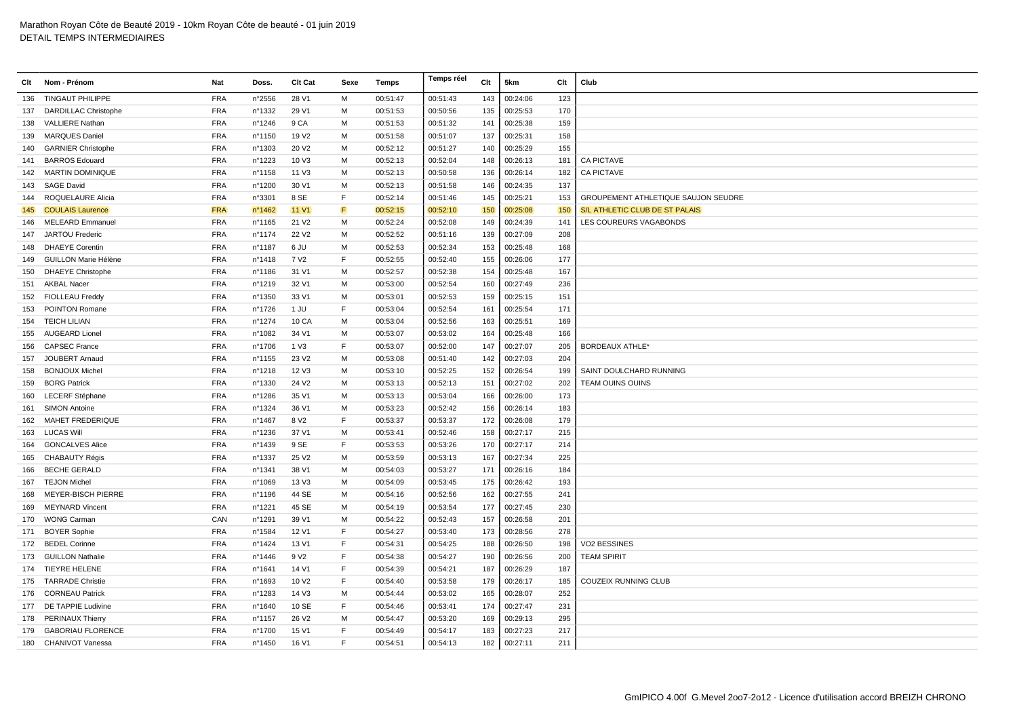| Clt | Nom - Prénom                | Nat        | Doss.  | Clt Cat           | Sexe         | Temps    | Temps réel | Clt | 5km      | Clt | Club                                |
|-----|-----------------------------|------------|--------|-------------------|--------------|----------|------------|-----|----------|-----|-------------------------------------|
| 136 | <b>TINGAUT PHILIPPE</b>     | <b>FRA</b> | n°2556 | 28 V1             | M            | 00:51:47 | 00:51:43   | 143 | 00:24:06 | 123 |                                     |
| 137 | <b>DARDILLAC Christophe</b> | <b>FRA</b> | n°1332 | 29 V1             | м            | 00:51:53 | 00:50:56   | 135 | 00:25:53 | 170 |                                     |
| 138 | <b>VALLIERE Nathan</b>      | <b>FRA</b> | nº1246 | 9 CA              | М            | 00:51:53 | 00:51:32   | 141 | 00:25:38 | 159 |                                     |
| 139 | <b>MARQUES Daniel</b>       | <b>FRA</b> | n°1150 | 19 V <sub>2</sub> | м            | 00:51:58 | 00:51:07   | 137 | 00:25:31 | 158 |                                     |
| 140 | <b>GARNIER Christophe</b>   | <b>FRA</b> | n°1303 | 20 V <sub>2</sub> | M            | 00:52:12 | 00:51:27   | 140 | 00:25:29 | 155 |                                     |
| 141 | <b>BARROS Edouard</b>       | <b>FRA</b> | n°1223 | 10 V3             | M            | 00:52:13 | 00:52:04   | 148 | 00:26:13 | 181 | <b>CA PICTAVE</b>                   |
| 142 | <b>MARTIN DOMINIQUE</b>     | <b>FRA</b> | nº1158 | 11 V3             | M            | 00:52:13 | 00:50:58   | 136 | 00:26:14 | 182 | <b>CA PICTAVE</b>                   |
| 143 | <b>SAGE David</b>           | <b>FRA</b> | n°1200 | 30 V1             | м            | 00:52:13 | 00:51:58   | 146 | 00:24:35 | 137 |                                     |
| 144 | ROQUELAURE Alicia           | <b>FRA</b> | n°3301 | 8 SE              | F            | 00:52:14 | 00:51:46   | 145 | 00:25:21 | 153 | GROUPEMENT ATHLETIQUE SAUJON SEUDRE |
| 145 | <b>COULAIS Laurence</b>     | <b>FRA</b> | n°1462 | <b>11 V1</b>      | F            | 00:52:15 | 00:52:10   | 150 | 00:25:08 | 150 | S/L ATHLETIC CLUB DE ST PALAIS      |
| 146 | <b>MELEARD Emmanuel</b>     | <b>FRA</b> | n°1165 | 21 V <sub>2</sub> | м            | 00:52:24 | 00:52:08   | 149 | 00:24:39 | 141 | LES COUREURS VAGABONDS              |
| 147 | JARTOU Frederic             | <b>FRA</b> | n°1174 | 22 V <sub>2</sub> | M            | 00:52:52 | 00:51:16   | 139 | 00:27:09 | 208 |                                     |
| 148 | <b>DHAEYE</b> Corentin      | <b>FRA</b> | n°1187 | 6 JU              | м            | 00:52:53 | 00:52:34   | 153 | 00:25:48 | 168 |                                     |
| 149 | <b>GUILLON Marie Hélène</b> | <b>FRA</b> | n°1418 | 7 V <sub>2</sub>  | F            | 00:52:55 | 00:52:40   | 155 | 00:26:06 | 177 |                                     |
| 150 | <b>DHAEYE Christophe</b>    | <b>FRA</b> | n°1186 | 31 V1             | м            | 00:52:57 | 00:52:38   | 154 | 00:25:48 | 167 |                                     |
|     | 151 AKBAL Nacer             | <b>FRA</b> | n°1219 | 32 V1             | M            | 00:53:00 | 00:52:54   | 160 | 00:27:49 | 236 |                                     |
| 152 | <b>FIOLLEAU Freddy</b>      | <b>FRA</b> | n°1350 | 33 V1             | M            | 00:53:01 | 00:52:53   | 159 | 00:25:15 | 151 |                                     |
| 153 | POINTON Romane              | <b>FRA</b> | n°1726 | 1 JU              | E            | 00:53:04 | 00:52:54   | 161 | 00:25:54 | 171 |                                     |
|     | 154 TEICH LILIAN            | <b>FRA</b> | n°1274 | 10 CA             | M            | 00:53:04 | 00:52:56   | 163 | 00:25:51 | 169 |                                     |
| 155 | <b>AUGEARD Lionel</b>       | <b>FRA</b> | n°1082 | 34 V1             | м            | 00:53:07 | 00:53:02   | 164 | 00:25:48 | 166 |                                     |
| 156 | <b>CAPSEC France</b>        | <b>FRA</b> | n°1706 | 1 V3              | E            | 00:53:07 | 00:52:00   | 147 | 00:27:07 | 205 | <b>BORDEAUX ATHLE*</b>              |
| 157 | <b>JOUBERT Arnaud</b>       | <b>FRA</b> | nº1155 | 23 V <sub>2</sub> | м            | 00:53:08 | 00:51:40   | 142 | 00:27:03 | 204 |                                     |
| 158 | <b>BONJOUX Michel</b>       | <b>FRA</b> | nº1218 | 12 V3             | M            | 00:53:10 | 00:52:25   | 152 | 00:26:54 | 199 | SAINT DOULCHARD RUNNING             |
| 159 | <b>BORG Patrick</b>         | <b>FRA</b> | n°1330 | 24 V <sub>2</sub> | м            | 00:53:13 | 00:52:13   | 151 | 00:27:02 | 202 | TEAM OUINS OUINS                    |
| 160 | <b>LECERF Stéphane</b>      | <b>FRA</b> | n°1286 | 35 V1             | м            | 00:53:13 | 00:53:04   | 166 | 00:26:00 | 173 |                                     |
| 161 | <b>SIMON Antoine</b>        | <b>FRA</b> | nº1324 | 36 V1             | м            | 00:53:23 | 00:52:42   | 156 | 00:26:14 | 183 |                                     |
| 162 | <b>MAHET FREDERIQUE</b>     | <b>FRA</b> | n°1467 | 8 V <sub>2</sub>  | $\mathsf{F}$ | 00:53:37 | 00:53:37   | 172 | 00:26:08 | 179 |                                     |
| 163 | <b>LUCAS Will</b>           | <b>FRA</b> | n°1236 | 37 V1             | м            | 00:53:41 | 00:52:46   | 158 | 00:27:17 | 215 |                                     |
| 164 | <b>GONCALVES Alice</b>      | <b>FRA</b> | n°1439 | 9 SE              | E            | 00:53:53 | 00:53:26   | 170 | 00:27:17 | 214 |                                     |
| 165 | CHABAUTY Régis              | <b>FRA</b> | n°1337 | 25 V <sub>2</sub> | M            | 00:53:59 | 00:53:13   | 167 | 00:27:34 | 225 |                                     |
| 166 | <b>BECHE GERALD</b>         | <b>FRA</b> | n°1341 | 38 V1             | M            | 00:54:03 | 00:53:27   | 171 | 00:26:16 | 184 |                                     |
| 167 | <b>TEJON Michel</b>         | <b>FRA</b> | n°1069 | 13 V3             | M            | 00:54:09 | 00:53:45   | 175 | 00:26:42 | 193 |                                     |
| 168 | <b>MEYER-BISCH PIERRE</b>   | <b>FRA</b> | nº1196 | 44 SE             | м            | 00:54:16 | 00:52:56   | 162 | 00:27:55 | 241 |                                     |
| 169 | <b>MEYNARD Vincent</b>      | <b>FRA</b> | n°1221 | 45 SE             | м            | 00:54:19 | 00:53:54   | 177 | 00:27:45 | 230 |                                     |
| 170 | <b>WONG Carman</b>          | CAN        | n°1291 | 39 V1             | M            | 00:54:22 | 00:52:43   | 157 | 00:26:58 | 201 |                                     |
| 171 | <b>BOYER Sophie</b>         | <b>FRA</b> | n°1584 | 12 V1             | $\mathsf F$  | 00:54:27 | 00:53:40   | 173 | 00:28:56 | 278 |                                     |
|     | 172 BEDEL Corinne           | <b>FRA</b> | n°1424 | 13 V1             | E            | 00:54:31 | 00:54:25   | 188 | 00:26:50 | 198 | VO2 BESSINES                        |
|     | 173 GUILLON Nathalie        | <b>FRA</b> | nº1446 | 9 V <sub>2</sub>  | E            | 00:54:38 | 00:54:27   | 190 | 00:26:56 | 200 | <b>TEAM SPIRIT</b>                  |
| 174 | <b>TIEYRE HELENE</b>        | <b>FRA</b> | n°1641 | 14 V1             | $\mathsf F$  | 00:54:39 | 00:54:21   | 187 | 00:26:29 | 187 |                                     |
|     | 175 TARRADE Christie        | <b>FRA</b> | n°1693 | 10 V <sub>2</sub> | E            | 00:54:40 | 00:53:58   | 179 | 00:26:17 | 185 | COUZEIX RUNNING CLUB                |
| 176 | <b>CORNEAU Patrick</b>      | <b>FRA</b> | n°1283 | 14 V3             | м            | 00:54:44 | 00:53:02   | 165 | 00:28:07 | 252 |                                     |
|     | 177 DE TAPPIE Ludivine      | <b>FRA</b> | n°1640 | 10 SE             | F            | 00:54:46 | 00:53:41   | 174 | 00:27:47 | 231 |                                     |
|     | 178 PERINAUX Thierry        | <b>FRA</b> | n°1157 | 26 V <sub>2</sub> | M            | 00:54:47 | 00:53:20   | 169 | 00:29:13 | 295 |                                     |
| 179 | <b>GABORIAU FLORENCE</b>    | <b>FRA</b> | n°1700 | 15 V1             | $\mathsf{F}$ | 00:54:49 | 00:54:17   | 183 | 00:27:23 | 217 |                                     |
| 180 | CHANIVOT Vanessa            | <b>FRA</b> | n°1450 | 16 V1             | F            | 00:54:51 | 00:54:13   | 182 | 00:27:11 | 211 |                                     |
|     |                             |            |        |                   |              |          |            |     |          |     |                                     |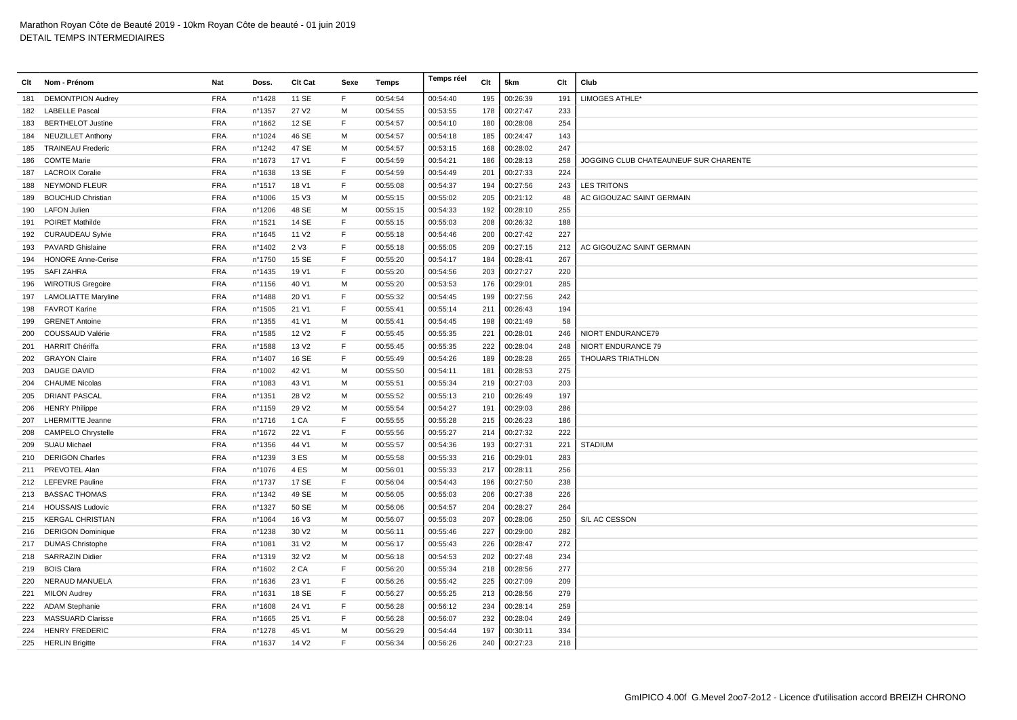| Clt | Nom - Prénom               | Nat        | Doss.  | Clt Cat           | Sexe | <b>Temps</b> | Temps réel | Clt | 5km      | Clt | Club                                  |
|-----|----------------------------|------------|--------|-------------------|------|--------------|------------|-----|----------|-----|---------------------------------------|
| 181 | <b>DEMONTPION Audrey</b>   | <b>FRA</b> | n°1428 | 11 SE             | F    | 00:54:54     | 00:54:40   | 195 | 00:26:39 | 191 | LIMOGES ATHLE*                        |
|     | 182 LABELLE Pascal         | <b>FRA</b> | n°1357 | 27 V <sub>2</sub> | м    | 00:54:55     | 00:53:55   | 178 | 00:27:47 | 233 |                                       |
| 183 | <b>BERTHELOT Justine</b>   | <b>FRA</b> | nº1662 | 12 SE             | F    | 00:54:57     | 00:54:10   | 180 | 00:28:08 | 254 |                                       |
| 184 | <b>NEUZILLET Anthony</b>   | <b>FRA</b> | n°1024 | 46 SE             | M    | 00:54:57     | 00:54:18   | 185 | 00:24:47 | 143 |                                       |
| 185 | <b>TRAINEAU Frederic</b>   | <b>FRA</b> | n°1242 | 47 SE             | м    | 00:54:57     | 00:53:15   | 168 | 00:28:02 | 247 |                                       |
| 186 | <b>COMTE Marie</b>         | <b>FRA</b> | n°1673 | 17 V1             | F    | 00:54:59     | 00:54:21   | 186 | 00:28:13 | 258 | JOGGING CLUB CHATEAUNEUF SUR CHARENTE |
| 187 | <b>LACROIX Coralie</b>     | <b>FRA</b> | n°1638 | 13 SE             | F    | 00:54:59     | 00:54:49   | 201 | 00:27:33 | 224 |                                       |
| 188 | <b>NEYMOND FLEUR</b>       | <b>FRA</b> | nº1517 | 18 V1             | F    | 00:55:08     | 00:54:37   | 194 | 00:27:56 | 243 | <b>LES TRITONS</b>                    |
| 189 | <b>BOUCHUD Christian</b>   | <b>FRA</b> | n°1006 | 15 V3             | м    | 00:55:15     | 00:55:02   | 205 | 00:21:12 | 48  | AC GIGOUZAC SAINT GERMAIN             |
| 190 | <b>LAFON Julien</b>        | <b>FRA</b> | n°1206 | 48 SE             | M    | 00:55:15     | 00:54:33   | 192 | 00:28:10 | 255 |                                       |
| 191 | POIRET Mathilde            | <b>FRA</b> | n°1521 | 14 SE             | E    | 00:55:15     | 00:55:03   | 208 | 00:26:32 | 188 |                                       |
| 192 | <b>CURAUDEAU Sylvie</b>    | <b>FRA</b> | n°1645 | 11 V <sub>2</sub> | F    | 00:55:18     | 00:54:46   | 200 | 00:27:42 | 227 |                                       |
| 193 | <b>PAVARD Ghislaine</b>    | <b>FRA</b> | n°1402 | 2 V3              | F    | 00:55:18     | 00:55:05   | 209 | 00:27:15 | 212 | AC GIGOUZAC SAINT GERMAIN             |
| 194 | <b>HONORE Anne-Cerise</b>  | <b>FRA</b> | nº1750 | 15 SE             | F    | 00:55:20     | 00:54:17   | 184 | 00:28:41 | 267 |                                       |
| 195 | <b>SAFI ZAHRA</b>          | <b>FRA</b> | n°1435 | 19 V1             | F    | 00:55:20     | 00:54:56   | 203 | 00:27:27 | 220 |                                       |
| 196 | <b>WIROTIUS Gregoire</b>   | <b>FRA</b> | n°1156 | 40 V1             | м    | 00:55:20     | 00:53:53   | 176 | 00:29:01 | 285 |                                       |
| 197 | <b>LAMOLIATTE Maryline</b> | <b>FRA</b> | n°1488 | 20 V1             | E    | 00:55:32     | 00:54:45   | 199 | 00:27:56 | 242 |                                       |
| 198 | <b>FAVROT Karine</b>       | <b>FRA</b> | n°1505 | 21 V1             | E    | 00:55:41     | 00:55:14   | 211 | 00:26:43 | 194 |                                       |
| 199 | <b>GRENET Antoine</b>      | <b>FRA</b> | n°1355 | 41 V1             | м    | 00:55:41     | 00:54:45   | 198 | 00:21:49 | 58  |                                       |
| 200 | COUSSAUD Valérie           | <b>FRA</b> | n°1585 | 12 V <sub>2</sub> | E    | 00:55:45     | 00:55:35   | 221 | 00:28:01 | 246 | NIORT ENDURANCE79                     |
| 201 | <b>HARRIT Chériffa</b>     | <b>FRA</b> | n°1588 | 13 V <sub>2</sub> | E    | 00:55:45     | 00:55:35   | 222 | 00:28:04 | 248 | NIORT ENDURANCE 79                    |
| 202 | <b>GRAYON Claire</b>       | <b>FRA</b> | nº1407 | 16 SE             | F    | 00:55:49     | 00:54:26   | 189 | 00:28:28 | 265 | <b>THOUARS TRIATHLON</b>              |
| 203 | <b>DAUGE DAVID</b>         | <b>FRA</b> | n°1002 | 42 V1             | M    | 00:55:50     | 00:54:11   | 181 | 00:28:53 | 275 |                                       |
| 204 | <b>CHAUME Nicolas</b>      | <b>FRA</b> | n°1083 | 43 V1             | M    | 00:55:51     | 00:55:34   | 219 | 00:27:03 | 203 |                                       |
| 205 | <b>DRIANT PASCAL</b>       | <b>FRA</b> | n°1351 | 28 V <sub>2</sub> | м    | 00:55:52     | 00:55:13   | 210 | 00:26:49 | 197 |                                       |
| 206 | <b>HENRY Philippe</b>      | <b>FRA</b> | n°1159 | 29 V <sub>2</sub> | м    | 00:55:54     | 00:54:27   | 191 | 00:29:03 | 286 |                                       |
| 207 | <b>LHERMITTE Jeanne</b>    | <b>FRA</b> | n°1716 | 1 CA              | F    | 00:55:55     | 00:55:28   | 215 | 00:26:23 | 186 |                                       |
| 208 | <b>CAMPELO Chrystelle</b>  | <b>FRA</b> | n°1672 | 22 V1             | E    | 00:55:56     | 00:55:27   | 214 | 00:27:32 | 222 |                                       |
| 209 | <b>SUAU Michael</b>        | <b>FRA</b> | n°1356 | 44 V1             | M    | 00:55:57     | 00:54:36   | 193 | 00:27:31 | 221 | <b>STADIUM</b>                        |
| 210 | <b>DERIGON Charles</b>     | <b>FRA</b> | n°1239 | 3 ES              | м    | 00:55:58     | 00:55:33   | 216 | 00:29:01 | 283 |                                       |
|     | 211 PREVOTEL Alan          | <b>FRA</b> | n°1076 | 4 ES              | M    | 00:56:01     | 00:55:33   | 217 | 00:28:11 | 256 |                                       |
|     | 212 LEFEVRE Pauline        | <b>FRA</b> | n°1737 | 17 SE             | E    | 00:56:04     | 00:54:43   | 196 | 00:27:50 | 238 |                                       |
| 213 | <b>BASSAC THOMAS</b>       | <b>FRA</b> | n°1342 | 49 SE             | м    | 00:56:05     | 00:55:03   | 206 | 00:27:38 | 226 |                                       |
|     | 214 HOUSSAIS Ludovic       | <b>FRA</b> | n°1327 | 50 SE             | м    | 00:56:06     | 00:54:57   | 204 | 00:28:27 | 264 |                                       |
| 215 | <b>KERGAL CHRISTIAN</b>    | <b>FRA</b> | n°1064 | 16 V3             | м    | 00:56:07     | 00:55:03   | 207 | 00:28:06 | 250 | S/L AC CESSON                         |
|     | 216 DERIGON Dominique      | <b>FRA</b> | n°1238 | 30 V <sub>2</sub> | м    | 00:56:11     | 00:55:46   | 227 | 00:29:00 | 282 |                                       |
| 217 | <b>DUMAS Christophe</b>    | <b>FRA</b> | n°1081 | 31 V <sub>2</sub> | м    | 00:56:17     | 00:55:43   | 226 | 00:28:47 | 272 |                                       |
| 218 | <b>SARRAZIN Didier</b>     | <b>FRA</b> | n°1319 | 32 V <sub>2</sub> | м    | 00:56:18     | 00:54:53   | 202 | 00:27:48 | 234 |                                       |
| 219 | <b>BOIS Clara</b>          | <b>FRA</b> | n°1602 | 2 CA              | F    | 00:56:20     | 00:55:34   | 218 | 00:28:56 | 277 |                                       |
| 220 | NERAUD MANUELA             | <b>FRA</b> | n°1636 | 23 V1             | F    | 00:56:26     | 00:55:42   | 225 | 00:27:09 | 209 |                                       |
| 221 | <b>MILON Audrey</b>        | <b>FRA</b> | n°1631 | 18 SE             | F    | 00:56:27     | 00:55:25   | 213 | 00:28:56 | 279 |                                       |
|     | 222 ADAM Stephanie         | <b>FRA</b> | n°1608 | 24 V1             | F    | 00:56:28     | 00:56:12   | 234 | 00:28:14 | 259 |                                       |
| 223 | <b>MASSUARD Clarisse</b>   | <b>FRA</b> | n°1665 | 25 V1             | E    | 00:56:28     | 00:56:07   | 232 | 00:28:04 | 249 |                                       |
| 224 | <b>HENRY FREDERIC</b>      | <b>FRA</b> | n°1278 | 45 V1             | м    | 00:56:29     | 00:54:44   | 197 | 00:30:11 | 334 |                                       |
|     | 225 HERLIN Brigitte        | <b>FRA</b> | n°1637 | 14 V <sub>2</sub> | E    | 00:56:34     | 00:56:26   | 240 | 00:27:23 | 218 |                                       |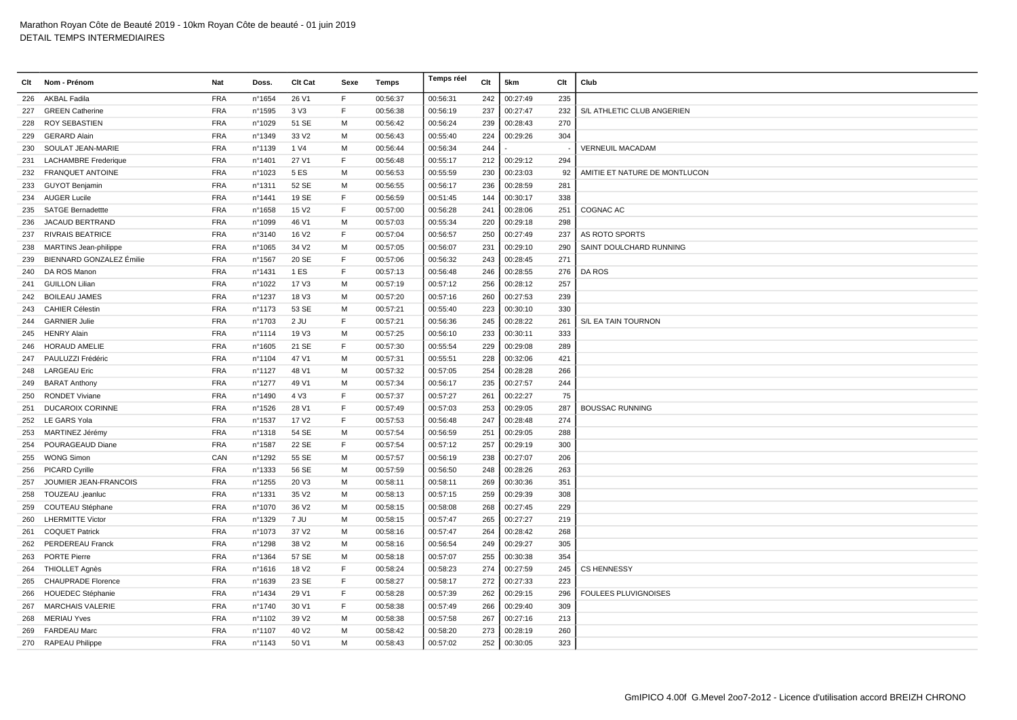| Clt | Nom - Prénom                 | Nat        | Doss.            | Clt Cat           | Sexe | Temps    | Temps réel | Clt | 5km      | Clt | Club                          |
|-----|------------------------------|------------|------------------|-------------------|------|----------|------------|-----|----------|-----|-------------------------------|
| 226 | <b>AKBAL Fadila</b>          | <b>FRA</b> | n°1654           | 26 V1             | F    | 00:56:37 | 00:56:31   | 242 | 00:27:49 | 235 |                               |
| 227 | <b>GREEN Catherine</b>       | <b>FRA</b> | n°1595           | 3 V3              | F    | 00:56:38 | 00:56:19   | 237 | 00:27:47 | 232 | S/L ATHLETIC CLUB ANGERIEN    |
| 228 | <b>ROY SEBASTIEN</b>         | <b>FRA</b> | n°1029           | 51 SE             | M    | 00:56:42 | 00:56:24   | 239 | 00:28:43 | 270 |                               |
| 229 | <b>GERARD Alain</b>          | <b>FRA</b> | n°1349           | 33 V <sub>2</sub> | м    | 00:56:43 | 00:55:40   | 224 | 00:29:26 | 304 |                               |
| 230 | SOULAT JEAN-MARIE            | <b>FRA</b> | n°1139           | 1 V4              | M    | 00:56:44 | 00:56:34   | 244 |          |     | <b>VERNEUIL MACADAM</b>       |
| 231 | <b>LACHAMBRE</b> Frederique  | <b>FRA</b> | n°1401           | 27 V1             | E    | 00:56:48 | 00:55:17   | 212 | 00:29:12 | 294 |                               |
| 232 | <b>FRANQUET ANTOINE</b>      | <b>FRA</b> | n°1023           | 5 ES              | M    | 00:56:53 | 00:55:59   | 230 | 00:23:03 | 92  | AMITIE ET NATURE DE MONTLUCON |
| 233 | <b>GUYOT Benjamin</b>        | <b>FRA</b> | n°1311           | 52 SE             | M    | 00:56:55 | 00:56:17   | 236 | 00:28:59 | 281 |                               |
| 234 | <b>AUGER Lucile</b>          | <b>FRA</b> | n°1441           | 19 SE             | F    | 00:56:59 | 00:51:45   | 144 | 00:30:17 | 338 |                               |
| 235 | <b>SATGE Bernadettte</b>     | <b>FRA</b> | n°1658           | 15 V <sub>2</sub> | E    | 00:57:00 | 00:56:28   | 241 | 00:28:06 | 251 | COGNAC AC                     |
| 236 | JACAUD BERTRAND              | FRA        | n°1099           | 46 V1             | M    | 00:57:03 | 00:55:34   | 220 | 00:29:18 | 298 |                               |
| 237 | <b>RIVRAIS BEATRICE</b>      | <b>FRA</b> | n°3140           | 16 V <sub>2</sub> | F    | 00:57:04 | 00:56:57   | 250 | 00:27:49 | 237 | AS ROTO SPORTS                |
| 238 | <b>MARTINS Jean-philippe</b> | <b>FRA</b> | n°1065           | 34 V <sub>2</sub> | M    | 00:57:05 | 00:56:07   | 231 | 00:29:10 | 290 | SAINT DOULCHARD RUNNING       |
| 239 | BIENNARD GONZALEZ Émilie     | <b>FRA</b> | nº1567           | 20 SE             | F    | 00:57:06 | 00:56:32   | 243 | 00:28:45 | 271 |                               |
| 240 | DA ROS Manon                 | <b>FRA</b> | nº1431           | 1 ES              | F    | 00:57:13 | 00:56:48   | 246 | 00:28:55 | 276 | DA ROS                        |
| 241 | <b>GUILLON Lilian</b>        | <b>FRA</b> | n°1022           | 17 V3             | м    | 00:57:19 | 00:57:12   | 256 | 00:28:12 | 257 |                               |
| 242 | <b>BOILEAU JAMES</b>         | <b>FRA</b> | n°1237           | 18 V3             | м    | 00:57:20 | 00:57:16   | 260 | 00:27:53 | 239 |                               |
| 243 | <b>CAHIER Célestin</b>       | <b>FRA</b> | n°1173           | 53 SE             | M    | 00:57:21 | 00:55:40   | 223 | 00:30:10 | 330 |                               |
|     | 244 GARNIER Julie            | <b>FRA</b> | n°1703           | $2$ JU            | E    | 00:57:21 | 00:56:36   | 245 | 00:28:22 | 261 | S/L EA TAIN TOURNON           |
| 245 | <b>HENRY Alain</b>           | <b>FRA</b> | nº1114           | 19 V3             | м    | 00:57:25 | 00:56:10   | 233 | 00:30:11 | 333 |                               |
| 246 | <b>HORAUD AMELIE</b>         | <b>FRA</b> | n°1605           | 21 SE             | F    | 00:57:30 | 00:55:54   | 229 | 00:29:08 | 289 |                               |
| 247 | PAULUZZI Frédéric            | <b>FRA</b> | n°1104           | 47 V1             | м    | 00:57:31 | 00:55:51   | 228 | 00:32:06 | 421 |                               |
| 248 | <b>LARGEAU Eric</b>          | <b>FRA</b> | nº1127           | 48 V1             | M    | 00:57:32 | 00:57:05   | 254 | 00:28:28 | 266 |                               |
|     | 249 BARAT Anthony            | <b>FRA</b> | n°1277           | 49 V1             | M    | 00:57:34 | 00:56:17   | 235 | 00:27:57 | 244 |                               |
| 250 | <b>RONDET Viviane</b>        | <b>FRA</b> | n°1490           | 4 V3              | F    | 00:57:37 | 00:57:27   | 261 | 00:22:27 | 75  |                               |
| 251 | <b>DUCAROIX CORINNE</b>      | <b>FRA</b> | n°1526           | 28 V1             | E    | 00:57:49 | 00:57:03   | 253 | 00:29:05 | 287 | <b>BOUSSAC RUNNING</b>        |
| 252 | LE GARS Yola                 | <b>FRA</b> | n°1537           | 17 V <sub>2</sub> | F    | 00:57:53 | 00:56:48   | 247 | 00:28:48 | 274 |                               |
| 253 | MARTINEZ Jérémy              | <b>FRA</b> | n°1318           | 54 SE             | M    | 00:57:54 | 00:56:59   | 251 | 00:29:05 | 288 |                               |
| 254 | POURAGEAUD Diane             | <b>FRA</b> | n°1587           | 22 SE             | F    | 00:57:54 | 00:57:12   | 257 | 00:29:19 | 300 |                               |
| 255 | <b>WONG Simon</b>            | CAN        | n°1292           | 55 SE             | м    | 00:57:57 | 00:56:19   | 238 | 00:27:07 | 206 |                               |
| 256 | <b>PICARD Cyrille</b>        | <b>FRA</b> | n°1333           | 56 SE             | м    | 00:57:59 | 00:56:50   | 248 | 00:28:26 | 263 |                               |
| 257 | JOUMIER JEAN-FRANCOIS        | <b>FRA</b> | n°1255           | 20 V3             | M    | 00:58:11 | 00:58:11   | 269 | 00:30:36 | 351 |                               |
| 258 | TOUZEAU .jeanluc             | <b>FRA</b> | n°1331           | 35 V <sub>2</sub> | м    | 00:58:13 | 00:57:15   | 259 | 00:29:39 | 308 |                               |
| 259 | COUTEAU Stéphane             | <b>FRA</b> | nº1070           | 36 V <sub>2</sub> | м    | 00:58:15 | 00:58:08   | 268 | 00:27:45 | 229 |                               |
| 260 | <b>LHERMITTE Victor</b>      | <b>FRA</b> | n°1329           | 7 JU              | M    | 00:58:15 | 00:57:47   | 265 | 00:27:27 | 219 |                               |
| 261 | <b>COQUET Patrick</b>        | <b>FRA</b> | n°1073           | 37 V <sub>2</sub> | м    | 00:58:16 | 00:57:47   | 264 | 00:28:42 | 268 |                               |
| 262 | <b>PERDEREAU Franck</b>      | <b>FRA</b> | n°1298           | 38 V2             | M    | 00:58:16 | 00:56:54   | 249 | 00:29:27 | 305 |                               |
| 263 | <b>PORTE Pierre</b>          | <b>FRA</b> | n°1364           | 57 SE             | M    | 00:58:18 | 00:57:07   | 255 | 00:30:38 | 354 |                               |
| 264 | <b>THIOLLET Agnès</b>        | <b>FRA</b> | nº1616           | 18 V <sub>2</sub> | E    | 00:58:24 | 00:58:23   | 274 | 00:27:59 | 245 | <b>CS HENNESSY</b>            |
| 265 | <b>CHAUPRADE Florence</b>    | <b>FRA</b> | n°1639           | 23 SE             | F    | 00:58:27 | 00:58:17   | 272 | 00:27:33 | 223 |                               |
| 266 | <b>HOUEDEC Stéphanie</b>     | <b>FRA</b> | n°1434           | 29 V1             | F    | 00:58:28 | 00:57:39   | 262 | 00:29:15 | 296 | <b>FOULEES PLUVIGNOISES</b>   |
| 267 | <b>MARCHAIS VALERIE</b>      | <b>FRA</b> | nº1740           | 30 V1             | F    | 00:58:38 | 00:57:49   | 266 | 00:29:40 | 309 |                               |
| 268 | <b>MERIAU Yves</b>           | <b>FRA</b> | n°1102           | 39 V <sub>2</sub> | M    | 00:58:38 | 00:57:58   | 267 | 00:27:16 | 213 |                               |
| 269 | <b>FARDEAU Marc</b>          | <b>FRA</b> | nº1107           | 40 V <sub>2</sub> | м    | 00:58:42 | 00:58:20   | 273 | 00:28:19 | 260 |                               |
|     | 270 RAPEAU Philippe          | <b>FRA</b> | $n^{\circ}$ 1143 | 50 V1             | M    | 00:58:43 | 00:57:02   | 252 | 00:30:05 | 323 |                               |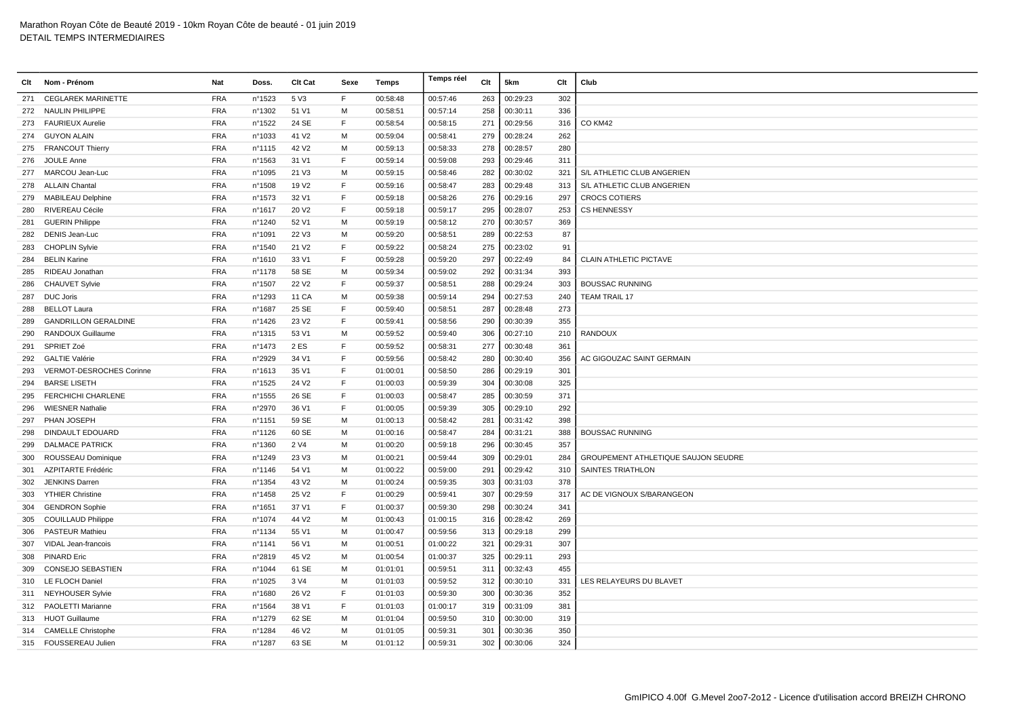| Clt | Nom - Prénom                | Nat        | Doss.  | Clt Cat           | Sexe | Temps    | Temps réel | Clt | 5km      | Clt | Club                                |
|-----|-----------------------------|------------|--------|-------------------|------|----------|------------|-----|----------|-----|-------------------------------------|
| 271 | <b>CEGLAREK MARINETTE</b>   | <b>FRA</b> | n°1523 | 5 V3              | F.   | 00:58:48 | 00:57:46   | 263 | 00:29:23 | 302 |                                     |
|     | 272 NAULIN PHILIPPE         | <b>FRA</b> | n°1302 | 51 V1             | M    | 00:58:51 | 00:57:14   | 258 | 00:30:11 | 336 |                                     |
|     | 273 FAURIEUX Aurelie        | <b>FRA</b> | n°1522 | 24 SE             | F    | 00:58:54 | 00:58:15   | 271 | 00:29:56 | 316 | CO KM42                             |
|     | 274 GUYON ALAIN             | <b>FRA</b> | n°1033 | 41 V <sub>2</sub> | м    | 00:59:04 | 00:58:41   | 279 | 00:28:24 | 262 |                                     |
|     | 275 FRANCOUT Thierry        | <b>FRA</b> | nº1115 | 42 V <sub>2</sub> | м    | 00:59:13 | 00:58:33   | 278 | 00:28:57 | 280 |                                     |
| 276 | JOULE Anne                  | <b>FRA</b> | n°1563 | 31 V1             | E    | 00:59:14 | 00:59:08   | 293 | 00:29:46 | 311 |                                     |
| 277 | MARCOU Jean-Luc             | <b>FRA</b> | n°1095 | 21 V3             | M    | 00:59:15 | 00:58:46   | 282 | 00:30:02 | 321 | S/L ATHLETIC CLUB ANGERIEN          |
| 278 | <b>ALLAIN Chantal</b>       | <b>FRA</b> | n°1508 | 19 V <sub>2</sub> | E    | 00:59:16 | 00:58:47   | 283 | 00:29:48 | 313 | S/L ATHLETIC CLUB ANGERIEN          |
| 279 | <b>MABILEAU Delphine</b>    | <b>FRA</b> | n°1573 | 32 V1             | E    | 00:59:18 | 00:58:26   | 276 | 00:29:16 | 297 | <b>CROCS COTIERS</b>                |
| 280 | RIVEREAU Cécile             | <b>FRA</b> | nº1617 | 20 V <sub>2</sub> | E    | 00:59:18 | 00:59:17   | 295 | 00:28:07 | 253 | <b>CS HENNESSY</b>                  |
| 281 | <b>GUERIN Philippe</b>      | <b>FRA</b> | n°1240 | 52 V1             | м    | 00:59:19 | 00:58:12   | 270 | 00:30:57 | 369 |                                     |
| 282 | DENIS Jean-Luc              | <b>FRA</b> | n°1091 | 22 V3             | м    | 00:59:20 | 00:58:51   | 289 | 00:22:53 | 87  |                                     |
| 283 | <b>CHOPLIN Sylvie</b>       | <b>FRA</b> | nº1540 | 21 V <sub>2</sub> | E    | 00:59:22 | 00:58:24   | 275 | 00:23:02 | 91  |                                     |
| 284 | <b>BELIN Karine</b>         | <b>FRA</b> | n°1610 | 33 V1             | E    | 00:59:28 | 00:59:20   | 297 | 00:22:49 | 84  | <b>CLAIN ATHLETIC PICTAVE</b>       |
| 285 | RIDEAU Jonathan             | <b>FRA</b> | n°1178 | 58 SE             | M    | 00:59:34 | 00:59:02   | 292 | 00:31:34 | 393 |                                     |
| 286 | <b>CHAUVET Sylvie</b>       | <b>FRA</b> | nº1507 | 22 V <sub>2</sub> | F    | 00:59:37 | 00:58:51   | 288 | 00:29:24 | 303 | <b>BOUSSAC RUNNING</b>              |
| 287 | <b>DUC Joris</b>            | <b>FRA</b> | n°1293 | 11 CA             | м    | 00:59:38 | 00:59:14   | 294 | 00:27:53 | 240 | <b>TEAM TRAIL 17</b>                |
| 288 | <b>BELLOT Laura</b>         | <b>FRA</b> | n°1687 | 25 SE             | E    | 00:59:40 | 00:58:51   | 287 | 00:28:48 | 273 |                                     |
| 289 | <b>GANDRILLON GERALDINE</b> | <b>FRA</b> | n°1426 | 23 V <sub>2</sub> | E    | 00:59:41 | 00:58:56   | 290 | 00:30:39 | 355 |                                     |
| 290 | RANDOUX Guillaume           | <b>FRA</b> | n°1315 | 53 V1             | M    | 00:59:52 | 00:59:40   | 306 | 00:27:10 | 210 | <b>RANDOUX</b>                      |
| 291 | SPRIET Zoé                  | <b>FRA</b> | n°1473 | 2 ES              | E    | 00:59:52 | 00:58:31   | 277 | 00:30:48 | 361 |                                     |
| 292 | <b>GALTIE Valérie</b>       | <b>FRA</b> | n°2929 | 34 V1             | E    | 00:59:56 | 00:58:42   | 280 | 00:30:40 | 356 | AC GIGOUZAC SAINT GERMAIN           |
| 293 | VERMOT-DESROCHES Corinne    | <b>FRA</b> | n°1613 | 35 V1             | F    | 01:00:01 | 00:58:50   | 286 | 00:29:19 | 301 |                                     |
| 294 | <b>BARSE LISETH</b>         | <b>FRA</b> | n°1525 | 24 V <sub>2</sub> | E    | 01:00:03 | 00:59:39   | 304 | 00:30:08 | 325 |                                     |
| 295 | FERCHICHI CHARLENE          | <b>FRA</b> | n°1555 | 26 SE             | F    | 01:00:03 | 00:58:47   | 285 | 00:30:59 | 371 |                                     |
| 296 | <b>WIESNER Nathalie</b>     | <b>FRA</b> | n°2970 | 36 V1             | E    | 01:00:05 | 00:59:39   | 305 | 00:29:10 | 292 |                                     |
| 297 | PHAN JOSEPH                 | <b>FRA</b> | nº1151 | 59 SE             | M    | 01:00:13 | 00:58:42   | 281 | 00:31:42 | 398 |                                     |
| 298 | <b>DINDAULT EDOUARD</b>     | <b>FRA</b> | nº1126 | 60 SE             | M    | 01:00:16 | 00:58:47   | 284 | 00:31:21 | 388 | <b>BOUSSAC RUNNING</b>              |
| 299 | <b>DALMACE PATRICK</b>      | <b>FRA</b> | n°1360 | 2 V4              | M    | 01:00:20 | 00:59:18   | 296 | 00:30:45 | 357 |                                     |
| 300 | ROUSSEAU Dominique          | <b>FRA</b> | nº1249 | 23 V3             | м    | 01:00:21 | 00:59:44   | 309 | 00:29:01 | 284 | GROUPEMENT ATHLETIQUE SAUJON SEUDRE |
| 301 | <b>AZPITARTE Frédéric</b>   | <b>FRA</b> | nº1146 | 54 V1             | м    | 01:00:22 | 00:59:00   | 291 | 00:29:42 | 310 | SAINTES TRIATHLON                   |
| 302 | JENKINS Darren              | <b>FRA</b> | n°1354 | 43 V <sub>2</sub> | M    | 01:00:24 | 00:59:35   | 303 | 00:31:03 | 378 |                                     |
| 303 | <b>YTHIER Christine</b>     | <b>FRA</b> | n°1458 | 25 V <sub>2</sub> | F    | 01:00:29 | 00:59:41   | 307 | 00:29:59 | 317 | AC DE VIGNOUX S/BARANGEON           |
| 304 | <b>GENDRON Sophie</b>       | <b>FRA</b> | n°1651 | 37 V1             | E    | 01:00:37 | 00:59:30   | 298 | 00:30:24 | 341 |                                     |
| 305 | <b>COUILLAUD Philippe</b>   | <b>FRA</b> | nº1074 | 44 V <sub>2</sub> | м    | 01:00:43 | 01:00:15   | 316 | 00:28:42 | 269 |                                     |
| 306 | <b>PASTEUR Mathieu</b>      | <b>FRA</b> | n°1134 | 55 V1             | м    | 01:00:47 | 00:59:56   | 313 | 00:29:18 | 299 |                                     |
| 307 | VIDAL Jean-francois         | <b>FRA</b> | nº1141 | 56 V1             | м    | 01:00:51 | 01:00:22   | 321 | 00:29:31 | 307 |                                     |
| 308 | <b>PINARD Eric</b>          | <b>FRA</b> | n°2819 | 45 V <sub>2</sub> | м    | 01:00:54 | 01:00:37   | 325 | 00:29:11 | 293 |                                     |
| 309 | <b>CONSEJO SEBASTIEN</b>    | <b>FRA</b> | n°1044 | 61 SE             | M    | 01:01:01 | 00:59:51   | 311 | 00:32:43 | 455 |                                     |
| 310 | <b>LE FLOCH Daniel</b>      | <b>FRA</b> | n°1025 | 3 V4              | M    | 01:01:03 | 00:59:52   | 312 | 00:30:10 | 331 | LES RELAYEURS DU BLAVET             |
|     | 311 NEYHOUSER Sylvie        | <b>FRA</b> | n°1680 | 26 V <sub>2</sub> | E    | 01:01:03 | 00:59:30   | 300 | 00:30:36 | 352 |                                     |
| 312 | PAOLETTI Marianne           | <b>FRA</b> | n°1564 | 38 V1             | F    | 01:01:03 | 01:00:17   | 319 | 00:31:09 | 381 |                                     |
|     | 313 HUOT Guillaume          | <b>FRA</b> | n°1279 | 62 SE             | м    | 01:01:04 | 00:59:50   | 310 | 00:30:00 | 319 |                                     |
|     | 314 CAMELLE Christophe      | <b>FRA</b> | n°1284 | 46 V <sub>2</sub> | M    | 01:01:05 | 00:59:31   | 301 | 00:30:36 | 350 |                                     |
|     | 315 FOUSSEREAU Julien       | <b>FRA</b> | n°1287 | 63 SE             | M    | 01:01:12 | 00:59:31   | 302 | 00:30:06 | 324 |                                     |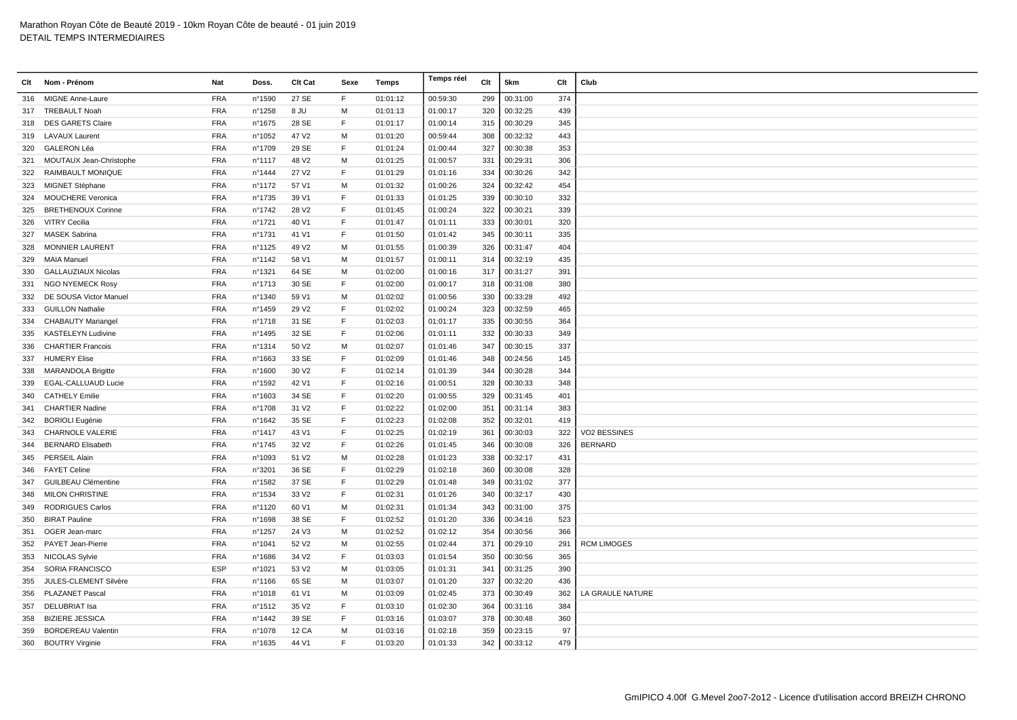| Clt | Nom - Prénom               | Nat        | Doss.  | Clt Cat           | Sexe | <b>Temps</b> | Temps réel | Clt | 5km      | Clt | Club               |
|-----|----------------------------|------------|--------|-------------------|------|--------------|------------|-----|----------|-----|--------------------|
| 316 | <b>MIGNE Anne-Laure</b>    | <b>FRA</b> | n°1590 | 27 SE             | F.   | 01:01:12     | 00:59:30   | 299 | 00:31:00 | 374 |                    |
| 317 | <b>TREBAULT Noah</b>       | <b>FRA</b> | n°1258 | 8 JU              | м    | 01:01:13     | 01:00:17   | 320 | 00:32:25 | 439 |                    |
| 318 | <b>DES GARETS Claire</b>   | <b>FRA</b> | nº1675 | 28 SE             | F.   | 01:01:17     | 01:00:14   | 315 | 00:30:29 | 345 |                    |
|     | 319 LAVAUX Laurent         | <b>FRA</b> | n°1052 | 47 V <sub>2</sub> | M    | 01:01:20     | 00:59:44   | 308 | 00:32:32 | 443 |                    |
| 320 | <b>GALERON Léa</b>         | <b>FRA</b> | n°1709 | 29 SE             | E    | 01:01:24     | 01:00:44   | 327 | 00:30:38 | 353 |                    |
| 321 | MOUTAUX Jean-Christophe    | <b>FRA</b> | n°1117 | 48 V2             | M    | 01:01:25     | 01:00:57   | 331 | 00:29:31 | 306 |                    |
| 322 | <b>RAIMBAULT MONIQUE</b>   | <b>FRA</b> | n°1444 | 27 V <sub>2</sub> | F.   | 01:01:29     | 01:01:16   | 334 | 00:30:26 | 342 |                    |
| 323 | MIGNET Stéphane            | <b>FRA</b> | nº1172 | 57 V1             | M    | 01:01:32     | 01:00:26   | 324 | 00:32:42 | 454 |                    |
| 324 | <b>MOUCHERE Veronica</b>   | <b>FRA</b> | n°1735 | 39 V1             | F.   | 01:01:33     | 01:01:25   | 339 | 00:30:10 | 332 |                    |
| 325 | <b>BRETHENOUX Corinne</b>  | <b>FRA</b> | nº1742 | 28 V <sub>2</sub> | E    | 01:01:45     | 01:00:24   | 322 | 00:30:21 | 339 |                    |
| 326 | <b>VITRY Cecilia</b>       | <b>FRA</b> | n°1721 | 40 V1             | E    | 01:01:47     | 01:01:11   | 333 | 00:30:01 | 320 |                    |
| 327 | <b>MASEK Sabrina</b>       | <b>FRA</b> | n°1731 | 41 V1             | F.   | 01:01:50     | 01:01:42   | 345 | 00:30:11 | 335 |                    |
| 328 | <b>MONNIER LAURENT</b>     | <b>FRA</b> | nº1125 | 49 V <sub>2</sub> | м    | 01:01:55     | 01:00:39   | 326 | 00:31:47 | 404 |                    |
| 329 | <b>MAIA Manuel</b>         | <b>FRA</b> | n°1142 | 58 V1             | м    | 01:01:57     | 01:00:11   | 314 | 00:32:19 | 435 |                    |
| 330 | <b>GALLAUZIAUX Nicolas</b> | <b>FRA</b> | nº1321 | 64 SE             | M    | 01:02:00     | 01:00:16   | 317 | 00:31:27 | 391 |                    |
| 331 | <b>NGO NYEMECK Rosy</b>    | <b>FRA</b> | nº1713 | 30 SE             | E    | 01:02:00     | 01:00:17   | 318 | 00:31:08 | 380 |                    |
| 332 | DE SOUSA Victor Manuel     | <b>FRA</b> | n°1340 | 59 V1             | M    | 01:02:02     | 01:00:56   | 330 | 00:33:28 | 492 |                    |
| 333 | <b>GUILLON Nathalie</b>    | <b>FRA</b> | n°1459 | 29 V <sub>2</sub> | F.   | 01:02:02     | 01:00:24   | 323 | 00:32:59 | 465 |                    |
| 334 | <b>CHABAUTY Mariangel</b>  | <b>FRA</b> | n°1718 | 31 SE             | F    | 01:02:03     | 01:01:17   | 335 | 00:30:55 | 364 |                    |
| 335 | <b>KASTELEYN Ludivine</b>  | <b>FRA</b> | n°1495 | 32 SE             | E    | 01:02:06     | 01:01:11   | 332 | 00:30:33 | 349 |                    |
| 336 | <b>CHARTIER Francois</b>   | <b>FRA</b> | nº1314 | 50 V <sub>2</sub> | M    | 01:02:07     | 01:01:46   | 347 | 00:30:15 | 337 |                    |
| 337 | <b>HUMERY Elise</b>        | <b>FRA</b> | n°1663 | 33 SE             | E    | 01:02:09     | 01:01:46   | 348 | 00:24:56 | 145 |                    |
| 338 | <b>MARANDOLA Brigitte</b>  | <b>FRA</b> | n°1600 | 30 V <sub>2</sub> | F.   | 01:02:14     | 01:01:39   | 344 | 00:30:28 | 344 |                    |
| 339 | <b>EGAL-CALLUAUD Lucie</b> | <b>FRA</b> | n°1592 | 42 V1             | F    | 01:02:16     | 01:00:51   | 328 | 00:30:33 | 348 |                    |
| 340 | <b>CATHELY Emilie</b>      | <b>FRA</b> | n°1603 | 34 SE             | E    | 01:02:20     | 01:00:55   | 329 | 00:31:45 | 401 |                    |
| 341 | <b>CHARTIER Nadine</b>     | <b>FRA</b> | n°1708 | 31 V <sub>2</sub> | E    | 01:02:22     | 01:02:00   | 351 | 00:31:14 | 383 |                    |
|     | 342 BORIOLI Eugénie        | <b>FRA</b> | n°1642 | 35 SE             | E    | 01:02:23     | 01:02:08   | 352 | 00:32:01 | 419 |                    |
| 343 | <b>CHARNOLE VALERIE</b>    | <b>FRA</b> | nº1417 | 43 V1             | E    | 01:02:25     | 01:02:19   | 361 | 00:30:03 | 322 | VO2 BESSINES       |
| 344 | <b>BERNARD Elisabeth</b>   | <b>FRA</b> | n°1745 | 32 V <sub>2</sub> | F.   | 01:02:26     | 01:01:45   | 346 | 00:30:08 | 326 | <b>BERNARD</b>     |
| 345 | <b>PERSEIL Alain</b>       | <b>FRA</b> | n°1093 | 51 V2             | M    | 01:02:28     | 01:01:23   | 338 | 00:32:17 | 431 |                    |
| 346 | <b>FAYET Celine</b>        | <b>FRA</b> | n°3201 | 36 SE             | E    | 01:02:29     | 01:02:18   | 360 | 00:30:08 | 328 |                    |
| 347 | <b>GUILBEAU Clémentine</b> | <b>FRA</b> | n°1582 | 37 SE             | F    | 01:02:29     | 01:01:48   | 349 | 00:31:02 | 377 |                    |
| 348 | <b>MILON CHRISTINE</b>     | <b>FRA</b> | n°1534 | 33 V <sub>2</sub> | E    | 01:02:31     | 01:01:26   | 340 | 00:32:17 | 430 |                    |
| 349 | <b>RODRIGUES Carlos</b>    | <b>FRA</b> | nº1120 | 60 V1             | м    | 01:02:31     | 01:01:34   | 343 | 00:31:00 | 375 |                    |
| 350 | <b>BIRAT Pauline</b>       | <b>FRA</b> | n°1698 | 38 SE             | F.   | 01:02:52     | 01:01:20   | 336 | 00:34:16 | 523 |                    |
| 351 | OGER Jean-marc             | <b>FRA</b> | n°1257 | 24 V3             | м    | 01:02:52     | 01:02:12   | 354 | 00:30:56 | 366 |                    |
|     | 352 PAYET Jean-Pierre      | <b>FRA</b> | n°1041 | 52 V <sub>2</sub> | M    | 01:02:55     | 01:02:44   | 371 | 00:29:10 | 291 | <b>RCM LIMOGES</b> |
| 353 | <b>NICOLAS Sylvie</b>      | <b>FRA</b> | n°1686 | 34 V <sub>2</sub> | E    | 01:03:03     | 01:01:54   | 350 | 00:30:56 | 365 |                    |
| 354 | SORIA FRANCISCO            | <b>ESP</b> | n°1021 | 53 V <sub>2</sub> | м    | 01:03:05     | 01:01:31   | 341 | 00:31:25 | 390 |                    |
| 355 | JULES-CLEMENT Silvère      | <b>FRA</b> | n°1166 | 65 SE             | м    | 01:03:07     | 01:01:20   | 337 | 00:32:20 | 436 |                    |
| 356 | <b>PLAZANET Pascal</b>     | <b>FRA</b> | n°1018 | 61 V1             | м    | 01:03:09     | 01:02:45   | 373 | 00:30:49 | 362 | LA GRAULE NATURE   |
| 357 | DELUBRIAT Isa              | <b>FRA</b> | n°1512 | 35 V <sub>2</sub> | F    | 01:03:10     | 01:02:30   | 364 | 00:31:16 | 384 |                    |
| 358 | <b>BIZIERE JESSICA</b>     | <b>FRA</b> | n°1442 | 39 SE             | F    | 01:03:16     | 01:03:07   | 378 | 00:30:48 | 360 |                    |
| 359 | <b>BORDEREAU Valentin</b>  | <b>FRA</b> | n°1078 | <b>12 CA</b>      | М    | 01:03:16     | 01:02:18   | 359 | 00:23:15 | 97  |                    |
|     | 360 BOUTRY Virginie        | <b>FRA</b> | nº1635 | 44 V1             | F.   | 01:03:20     | 01:01:33   | 342 | 00:33:12 | 479 |                    |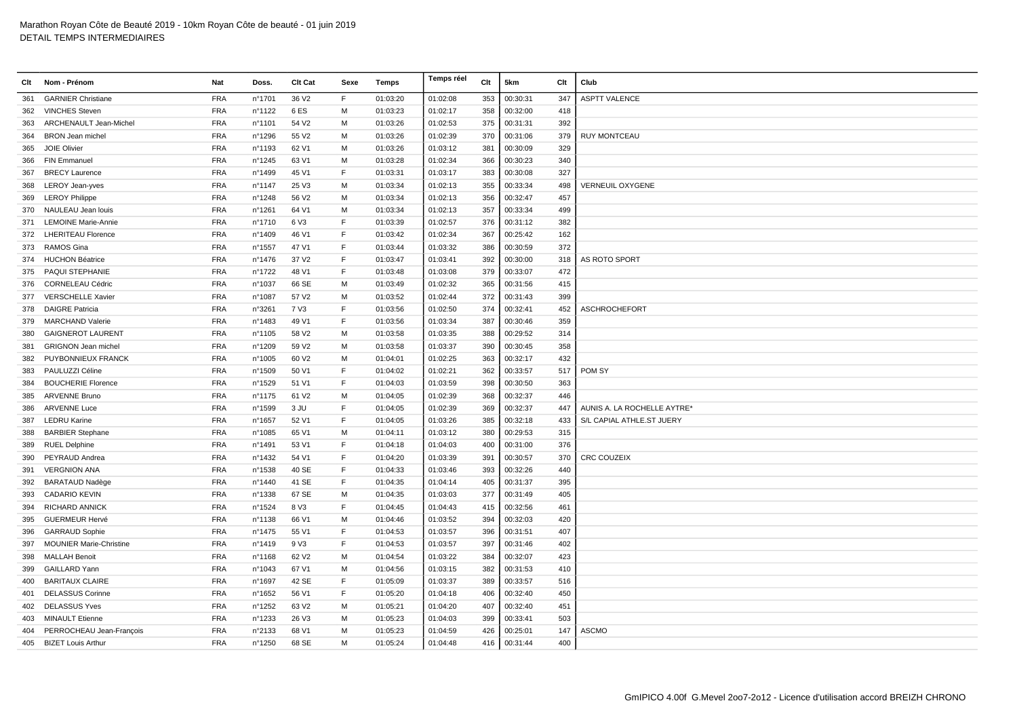| Clt | Nom - Prénom                   | Nat        | Doss.  | Clt Cat           | Sexe | Temps    | Temps réel | Clt | 5km      | Clt | Club                        |
|-----|--------------------------------|------------|--------|-------------------|------|----------|------------|-----|----------|-----|-----------------------------|
| 361 | <b>GARNIER Christiane</b>      | <b>FRA</b> | n°1701 | 36 V <sub>2</sub> | F    | 01:03:20 | 01:02:08   | 353 | 00:30:31 | 347 | <b>ASPTT VALENCE</b>        |
| 362 | <b>VINCHES Steven</b>          | <b>FRA</b> | n°1122 | 6ES               | M    | 01:03:23 | 01:02:17   | 358 | 00:32:00 | 418 |                             |
| 363 | ARCHENAULT Jean-Michel         | <b>FRA</b> | n°1101 | 54 V <sub>2</sub> | м    | 01:03:26 | 01:02:53   | 375 | 00:31:31 | 392 |                             |
| 364 | <b>BRON Jean michel</b>        | <b>FRA</b> | n°1296 | 55 V2             | м    | 01:03:26 | 01:02:39   | 370 | 00:31:06 | 379 | <b>RUY MONTCEAU</b>         |
| 365 | <b>JOIE Olivier</b>            | <b>FRA</b> | n°1193 | 62 V1             | M    | 01:03:26 | 01:03:12   | 381 | 00:30:09 | 329 |                             |
| 366 | <b>FIN Emmanuel</b>            | <b>FRA</b> | n°1245 | 63 V1             | M    | 01:03:28 | 01:02:34   | 366 | 00:30:23 | 340 |                             |
| 367 | <b>BRECY Laurence</b>          | <b>FRA</b> | n°1499 | 45 V1             | F    | 01:03:31 | 01:03:17   | 383 | 00:30:08 | 327 |                             |
| 368 | <b>LEROY Jean-yves</b>         | <b>FRA</b> | n°1147 | 25 V3             | м    | 01:03:34 | 01:02:13   | 355 | 00:33:34 | 498 | <b>VERNEUIL OXYGENE</b>     |
| 369 | <b>LEROY Philippe</b>          | <b>FRA</b> | n°1248 | 56 V <sub>2</sub> | м    | 01:03:34 | 01:02:13   | 356 | 00:32:47 | 457 |                             |
| 370 | NAULEAU Jean Iouis             | <b>FRA</b> | n°1261 | 64 V1             | М    | 01:03:34 | 01:02:13   | 357 | 00:33:34 | 499 |                             |
| 371 | <b>LEMOINE Marie-Annie</b>     | <b>FRA</b> | n°1710 | 6 V3              | F    | 01:03:39 | 01:02:57   | 376 | 00:31:12 | 382 |                             |
| 372 | <b>LHERITEAU Florence</b>      | <b>FRA</b> | n°1409 | 46 V1             | F    | 01:03:42 | 01:02:34   | 367 | 00:25:42 | 162 |                             |
| 373 | <b>RAMOS Gina</b>              | <b>FRA</b> | n°1557 | 47 V1             | F    | 01:03:44 | 01:03:32   | 386 | 00:30:59 | 372 |                             |
|     | 374 HUCHON Béatrice            | <b>FRA</b> | n°1476 | 37 V <sub>2</sub> | F    | 01:03:47 | 01:03:41   | 392 | 00:30:00 | 318 | AS ROTO SPORT               |
|     | 375 PAQUI STEPHANIE            | <b>FRA</b> | n°1722 | 48 V1             | E    | 01:03:48 | 01:03:08   | 379 | 00:33:07 | 472 |                             |
| 376 | CORNELEAU Cédric               | <b>FRA</b> | n°1037 | 66 SE             | M    | 01:03:49 | 01:02:32   | 365 | 00:31:56 | 415 |                             |
| 377 | <b>VERSCHELLE Xavier</b>       | <b>FRA</b> | n°1087 | 57 V2             | M    | 01:03:52 | 01:02:44   | 372 | 00:31:43 | 399 |                             |
| 378 | <b>DAIGRE Patricia</b>         | <b>FRA</b> | n°3261 | 7 V3              | E    | 01:03:56 | 01:02:50   | 374 | 00:32:41 | 452 | <b>ASCHROCHEFORT</b>        |
|     | 379 MARCHAND Valerie           | <b>FRA</b> | n°1483 | 49 V1             | F    | 01:03:56 | 01:03:34   | 387 | 00:30:46 | 359 |                             |
| 380 | <b>GAIGNEROT LAURENT</b>       | <b>FRA</b> | n°1105 | 58 V2             | м    | 01:03:58 | 01:03:35   | 388 | 00:29:52 | 314 |                             |
| 381 | <b>GRIGNON Jean michel</b>     | <b>FRA</b> | n°1209 | 59 V2             | M    | 01:03:58 | 01:03:37   | 390 | 00:30:45 | 358 |                             |
| 382 | PUYBONNIEUX FRANCK             | <b>FRA</b> | n°1005 | 60 V <sub>2</sub> | М    | 01:04:01 | 01:02:25   | 363 | 00:32:17 | 432 |                             |
| 383 | PAULUZZI Céline                | <b>FRA</b> | n°1509 | 50 V1             | E    | 01:04:02 | 01:02:21   | 362 | 00:33:57 | 517 | POM SY                      |
| 384 | <b>BOUCHERIE Florence</b>      | <b>FRA</b> | n°1529 | 51 V1             | F    | 01:04:03 | 01:03:59   | 398 | 00:30:50 | 363 |                             |
| 385 | <b>ARVENNE Bruno</b>           | <b>FRA</b> | nº1175 | 61 V <sub>2</sub> | м    | 01:04:05 | 01:02:39   | 368 | 00:32:37 | 446 |                             |
| 386 | <b>ARVENNE Luce</b>            | <b>FRA</b> | n°1599 | 3 JU              | F    | 01:04:05 | 01:02:39   | 369 | 00:32:37 | 447 | AUNIS A. LA ROCHELLE AYTRE* |
| 387 | <b>LEDRU Karine</b>            | <b>FRA</b> | n°1657 | 52 V1             | E    | 01:04:05 | 01:03:26   | 385 | 00:32:18 | 433 | S/L CAPIAL ATHLE.ST JUERY   |
| 388 | <b>BARBIER Stephane</b>        | <b>FRA</b> | n°1085 | 65 V1             | M    | 01:04:11 | 01:03:12   | 380 | 00:29:53 | 315 |                             |
| 389 | <b>RUEL Delphine</b>           | <b>FRA</b> | n°1491 | 53 V1             | E    | 01:04:18 | 01:04:03   | 400 | 00:31:00 | 376 |                             |
| 390 | PEYRAUD Andrea                 | <b>FRA</b> | n°1432 | 54 V1             | F    | 01:04:20 | 01:03:39   | 391 | 00:30:57 | 370 | <b>CRC COUZEIX</b>          |
| 391 | <b>VERGNION ANA</b>            | <b>FRA</b> | n°1538 | 40 SE             | F    | 01:04:33 | 01:03:46   | 393 | 00:32:26 | 440 |                             |
| 392 | <b>BARATAUD Nadège</b>         | <b>FRA</b> | n°1440 | 41 SE             | E    | 01:04:35 | 01:04:14   | 405 | 00:31:37 | 395 |                             |
| 393 | <b>CADARIO KEVIN</b>           | <b>FRA</b> | n°1338 | 67 SE             | м    | 01:04:35 | 01:03:03   | 377 | 00:31:49 | 405 |                             |
| 394 | <b>RICHARD ANNICK</b>          | <b>FRA</b> | n°1524 | 8 V3              | F    | 01:04:45 | 01:04:43   | 415 | 00:32:56 | 461 |                             |
| 395 | <b>GUERMEUR Hervé</b>          | <b>FRA</b> | nº1138 | 66 V1             | M    | 01:04:46 | 01:03:52   | 394 | 00:32:03 | 420 |                             |
| 396 | <b>GARRAUD Sophie</b>          | <b>FRA</b> | n°1475 | 55 V1             | F    | 01:04:53 | 01:03:57   | 396 | 00:31:51 | 407 |                             |
| 397 | <b>MOUNIER Marie-Christine</b> | <b>FRA</b> | n°1419 | 9 V3              | E    | 01:04:53 | 01:03:57   | 397 | 00:31:46 | 402 |                             |
| 398 | <b>MALLAH Benoit</b>           | <b>FRA</b> | n°1168 | 62 V <sub>2</sub> | M    | 01:04:54 | 01:03:22   | 384 | 00:32:07 | 423 |                             |
| 399 | <b>GAILLARD Yann</b>           | <b>FRA</b> | n°1043 | 67 V1             | м    | 01:04:56 | 01:03:15   | 382 | 00:31:53 | 410 |                             |
| 400 | <b>BARITAUX CLAIRE</b>         | <b>FRA</b> | n°1697 | 42 SE             | E    | 01:05:09 | 01:03:37   | 389 | 00:33:57 | 516 |                             |
| 401 | <b>DELASSUS Corinne</b>        | <b>FRA</b> | nº1652 | 56 V1             | F    | 01:05:20 | 01:04:18   | 406 | 00:32:40 | 450 |                             |
| 402 | <b>DELASSUS Yves</b>           | <b>FRA</b> | n°1252 | 63 V2             | M    | 01:05:21 | 01:04:20   | 407 | 00:32:40 | 451 |                             |
| 403 | <b>MINAULT Etienne</b>         | <b>FRA</b> | n°1233 | 26 V3             | M    | 01:05:23 | 01:04:03   | 399 | 00:33:41 | 503 |                             |
| 404 | PERROCHEAU Jean-François       | <b>FRA</b> | n°2133 | 68 V1             | м    | 01:05:23 | 01:04:59   | 426 | 00:25:01 | 147 | <b>ASCMO</b>                |
|     | 405 BIZET Louis Arthur         | <b>FRA</b> | n°1250 | 68 SE             | M    | 01:05:24 | 01:04:48   | 416 | 00:31:44 | 400 |                             |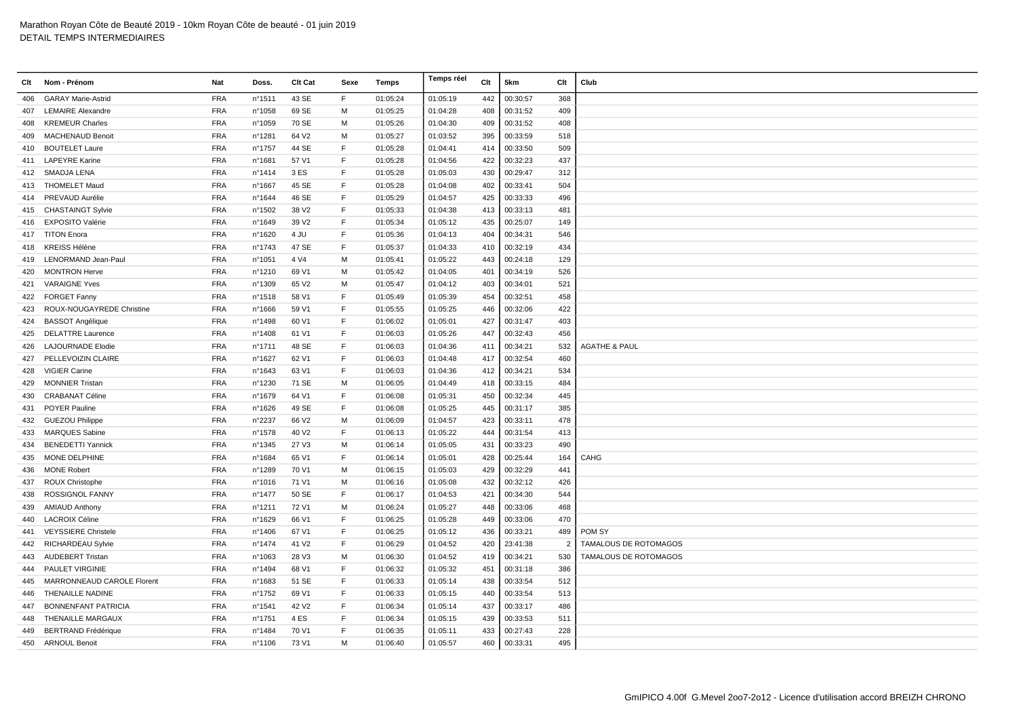| Clt | Nom - Prénom               | Nat        | Doss.            | Clt Cat           | Sexe         | Temps    | Temps réel | Clt | 5km      | Clt            | Club                         |
|-----|----------------------------|------------|------------------|-------------------|--------------|----------|------------|-----|----------|----------------|------------------------------|
| 406 | <b>GARAY Marie-Astrid</b>  | <b>FRA</b> | n°1511           | 43 SE             | F            | 01:05:24 | 01:05:19   | 442 | 00:30:57 | 368            |                              |
| 407 | <b>LEMAIRE Alexandre</b>   | <b>FRA</b> | n°1058           | 69 SE             | M            | 01:05:25 | 01:04:28   | 408 | 00:31:52 | 409            |                              |
| 408 | <b>KREMEUR Charles</b>     | <b>FRA</b> | n°1059           | 70 SE             | M            | 01:05:26 | 01:04:30   | 409 | 00:31:52 | 408            |                              |
| 409 | <b>MACHENAUD Benoit</b>    | <b>FRA</b> | n°1281           | 64 V2             | м            | 01:05:27 | 01:03:52   | 395 | 00:33:59 | 518            |                              |
| 410 | <b>BOUTELET Laure</b>      | <b>FRA</b> | n°1757           | 44 SE             | E            | 01:05:28 | 01:04:41   | 414 | 00:33:50 | 509            |                              |
|     | 411 LAPEYRE Karine         | <b>FRA</b> | n°1681           | 57 V1             | $\mathsf{F}$ | 01:05:28 | 01:04:56   | 422 | 00:32:23 | 437            |                              |
| 412 | SMADJA LENA                | <b>FRA</b> | n°1414           | 3 ES              | $\mathsf F$  | 01:05:28 | 01:05:03   | 430 | 00:29:47 | 312            |                              |
| 413 | <b>THOMELET Maud</b>       | <b>FRA</b> | n°1667           | 45 SE             | E            | 01:05:28 | 01:04:08   | 402 | 00:33:41 | 504            |                              |
| 414 | PREVAUD Aurélie            | <b>FRA</b> | n°1644           | 46 SE             | $\mathsf F$  | 01:05:29 | 01:04:57   | 425 | 00:33:33 | 496            |                              |
| 415 | <b>CHASTAINGT Sylvie</b>   | <b>FRA</b> | n°1502           | 38 V2             | $\mathsf{F}$ | 01:05:33 | 01:04:38   | 413 | 00:33:13 | 481            |                              |
| 416 | <b>EXPOSITO Valérie</b>    | <b>FRA</b> | nº1649           | 39 V <sub>2</sub> | $\mathsf{F}$ | 01:05:34 | 01:05:12   | 435 | 00:25:07 | 149            |                              |
| 417 | <b>TITON Enora</b>         | <b>FRA</b> | nº1620           | 4 JU              | $\mathsf F$  | 01:05:36 | 01:04:13   | 404 | 00:34:31 | 546            |                              |
| 418 | <b>KREISS Hélène</b>       | <b>FRA</b> | $n^{\circ}$ 1743 | 47 SE             | F            | 01:05:37 | 01:04:33   | 410 | 00:32:19 | 434            |                              |
| 419 | LENORMAND Jean-Paul        | <b>FRA</b> | n°1051           | 4 V4              | M            | 01:05:41 | 01:05:22   | 443 | 00:24:18 | 129            |                              |
| 420 | <b>MONTRON Herve</b>       | <b>FRA</b> | n°1210           | 69 V1             | м            | 01:05:42 | 01:04:05   | 401 | 00:34:19 | 526            |                              |
| 421 | <b>VARAIGNE Yves</b>       | <b>FRA</b> | n°1309           | 65 V2             | м            | 01:05:47 | 01:04:12   | 403 | 00:34:01 | 521            |                              |
| 422 | <b>FORGET Fanny</b>        | <b>FRA</b> | n°1518           | 58 V1             | $\mathsf F$  | 01:05:49 | 01:05:39   | 454 | 00:32:51 | 458            |                              |
| 423 | ROUX-NOUGAYREDE Christine  | <b>FRA</b> | n°1666           | 59 V1             | E            | 01:05:55 | 01:05:25   | 446 | 00:32:06 | 422            |                              |
| 424 | <b>BASSOT Angélique</b>    | <b>FRA</b> | n°1498           | 60 V1             | $\mathsf{F}$ | 01:06:02 | 01:05:01   | 427 | 00:31:47 | 403            |                              |
| 425 | <b>DELATTRE Laurence</b>   | <b>FRA</b> | n°1408           | 61 V1             | $\mathsf F$  | 01:06:03 | 01:05:26   | 447 | 00:32:43 | 456            |                              |
| 426 | <b>LAJOURNADE Elodie</b>   | <b>FRA</b> | n°1711           | 48 SE             | $\mathsf{F}$ | 01:06:03 | 01:04:36   | 411 | 00:34:21 | 532            | <b>AGATHE &amp; PAUL</b>     |
| 427 | PELLEVOIZIN CLAIRE         | <b>FRA</b> | n°1627           | 62 V1             | $\mathsf F$  | 01:06:03 | 01:04:48   | 417 | 00:32:54 | 460            |                              |
| 428 | <b>VIGIER Carine</b>       | <b>FRA</b> | nº1643           | 63 V1             | F            | 01:06:03 | 01:04:36   | 412 | 00:34:21 | 534            |                              |
| 429 | <b>MONNIER Tristan</b>     | <b>FRA</b> | n°1230           | 71 SE             | M            | 01:06:05 | 01:04:49   | 418 | 00:33:15 | 484            |                              |
| 430 | <b>CRABANAT Céline</b>     | <b>FRA</b> | n°1679           | 64 V1             | F            | 01:06:08 | 01:05:31   | 450 | 00:32:34 | 445            |                              |
| 431 | <b>POYER Pauline</b>       | <b>FRA</b> | n°1626           | 49 SE             | $\mathsf F$  | 01:06:08 | 01:05:25   | 445 | 00:31:17 | 385            |                              |
| 432 | <b>GUEZOU Philippe</b>     | <b>FRA</b> | n°2237           | 66 V <sub>2</sub> | M            | 01:06:09 | 01:04:57   | 423 | 00:33:11 | 478            |                              |
| 433 | <b>MARQUES Sabine</b>      | <b>FRA</b> | nº1578           | 40 V <sub>2</sub> | F            | 01:06:13 | 01:05:22   | 444 | 00:31:54 | 413            |                              |
| 434 | <b>BENEDETTI Yannick</b>   | <b>FRA</b> | nº1345           | 27 V3             | м            | 01:06:14 | 01:05:05   | 431 | 00:33:23 | 490            |                              |
| 435 | MONE DELPHINE              | <b>FRA</b> | n°1684           | 65 V1             | F            | 01:06:14 | 01:05:01   | 428 | 00:25:44 | 164            | CAHG                         |
| 436 | <b>MONE Robert</b>         | <b>FRA</b> | n°1289           | 70 V1             | м            | 01:06:15 | 01:05:03   | 429 | 00:32:29 | 441            |                              |
| 437 | <b>ROUX Christophe</b>     | <b>FRA</b> | n°1016           | 71 V1             | м            | 01:06:16 | 01:05:08   | 432 | 00:32:12 | 426            |                              |
| 438 | ROSSIGNOL FANNY            | <b>FRA</b> | n°1477           | 50 SE             | $\mathsf F$  | 01:06:17 | 01:04:53   | 421 | 00:34:30 | 544            |                              |
| 439 | <b>AMIAUD Anthony</b>      | <b>FRA</b> | n°1211           | 72 V1             | м            | 01:06:24 | 01:05:27   | 448 | 00:33:06 | 468            |                              |
| 440 | <b>LACROIX Céline</b>      | <b>FRA</b> | n°1629           | 66 V1             | $\mathsf F$  | 01:06:25 | 01:05:28   | 449 | 00:33:06 | 470            |                              |
| 441 | <b>VEYSSIERE Christele</b> | <b>FRA</b> | n°1406           | 67 V1             | F            | 01:06:25 | 01:05:12   | 436 | 00:33:21 | 489            | POM SY                       |
| 442 | <b>RICHARDEAU Sylvie</b>   | <b>FRA</b> | n°1474           | 41 V <sub>2</sub> | $\mathsf{F}$ | 01:06:29 | 01:04:52   | 420 | 23:41:38 | $\overline{2}$ | <b>TAMALOUS DE ROTOMAGOS</b> |
| 443 | <b>AUDEBERT Tristan</b>    | <b>FRA</b> | n°1063           | 28 V3             | M            | 01:06:30 | 01:04:52   | 419 | 00:34:21 | 530            | TAMALOUS DE ROTOMAGOS        |
| 444 | <b>PAULET VIRGINIE</b>     | <b>FRA</b> | n°1494           | 68 V1             | E            | 01:06:32 | 01:05:32   | 451 | 00:31:18 | 386            |                              |
| 445 | MARRONNEAUD CAROLE Florent | <b>FRA</b> | n°1683           | 51 SE             | $\mathsf F$  | 01:06:33 | 01:05:14   | 438 | 00:33:54 | 512            |                              |
| 446 | <b>THENAILLE NADINE</b>    | <b>FRA</b> | n°1752           | 69 V1             | F            | 01:06:33 | 01:05:15   | 440 | 00:33:54 | 513            |                              |
| 447 | <b>BONNENFANT PATRICIA</b> | <b>FRA</b> | n°1541           | 42 V <sub>2</sub> | $\mathsf{F}$ | 01:06:34 | 01:05:14   | 437 | 00:33:17 | 486            |                              |
| 448 | THENAILLE MARGAUX          | <b>FRA</b> | n°1751           | 4 ES              | $\mathsf{F}$ | 01:06:34 | 01:05:15   | 439 | 00:33:53 | 511            |                              |
| 449 | <b>BERTRAND Frédérique</b> | <b>FRA</b> | nº1484           | 70 V1             | $\mathsf{F}$ | 01:06:35 | 01:05:11   | 433 | 00:27:43 | 228            |                              |
|     | 450 ARNOUL Benoit          | <b>FRA</b> | nº1106           | 73 V1             | м            | 01:06:40 | 01:05:57   | 460 | 00:33:31 | 495            |                              |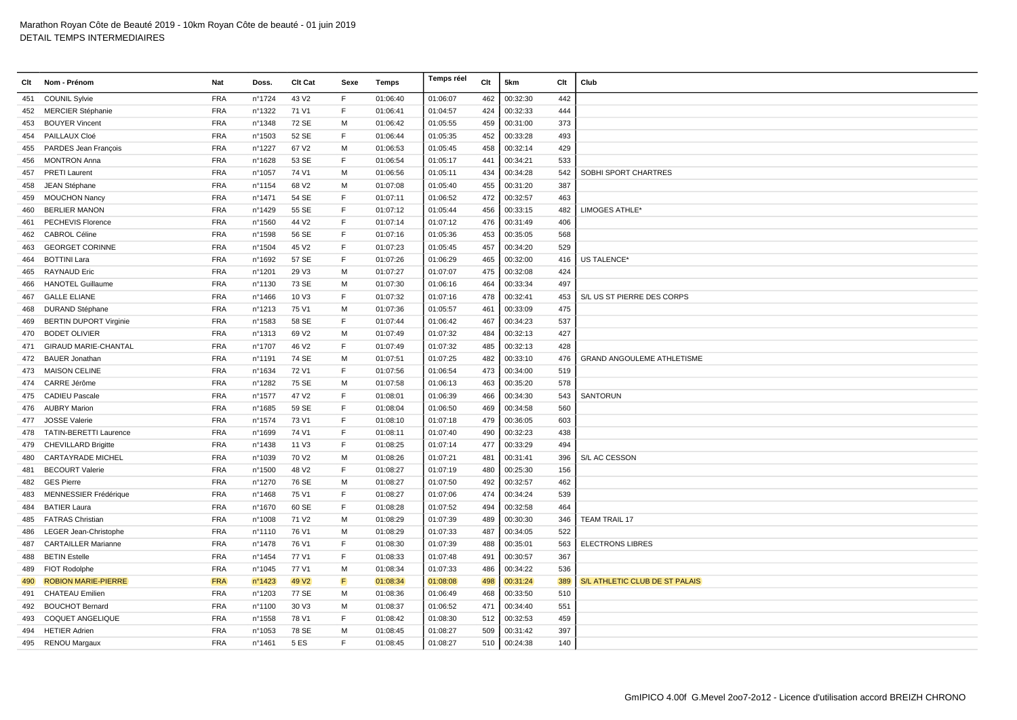| Clt | Nom - Prénom                  | Nat        | Doss.  | Clt Cat           | Sexe | Temps    | Temps réel | Clt | 5km      | Clt | Club                              |
|-----|-------------------------------|------------|--------|-------------------|------|----------|------------|-----|----------|-----|-----------------------------------|
| 451 | <b>COUNIL Sylvie</b>          | <b>FRA</b> | nº1724 | 43 V2             | F    | 01:06:40 | 01:06:07   | 462 | 00:32:30 | 442 |                                   |
|     | 452 MERCIER Stéphanie         | <b>FRA</b> | n°1322 | 71 V1             | F    | 01:06:41 | 01:04:57   | 424 | 00:32:33 | 444 |                                   |
| 453 | <b>BOUYER Vincent</b>         | <b>FRA</b> | n°1348 | 72 SE             | М    | 01:06:42 | 01:05:55   | 459 | 00:31:00 | 373 |                                   |
| 454 | PAILLAUX Cloé                 | <b>FRA</b> | n°1503 | 52 SE             | F    | 01:06:44 | 01:05:35   | 452 | 00:33:28 | 493 |                                   |
| 455 | PARDES Jean François          | <b>FRA</b> | n°1227 | 67 V2             | M    | 01:06:53 | 01:05:45   | 458 | 00:32:14 | 429 |                                   |
| 456 | <b>MONTRON Anna</b>           | <b>FRA</b> | n°1628 | 53 SE             | F    | 01:06:54 | 01:05:17   | 441 | 00:34:21 | 533 |                                   |
| 457 | <b>PRETI Laurent</b>          | <b>FRA</b> | n°1057 | 74 V1             | м    | 01:06:56 | 01:05:11   | 434 | 00:34:28 | 542 | SOBHI SPORT CHARTRES              |
| 458 | JEAN Stéphane                 | <b>FRA</b> | n°1154 | 68 V <sub>2</sub> | м    | 01:07:08 | 01:05:40   | 455 | 00:31:20 | 387 |                                   |
| 459 | <b>MOUCHON Nancy</b>          | <b>FRA</b> | n°1471 | 54 SE             | F    | 01:07:11 | 01:06:52   | 472 | 00:32:57 | 463 |                                   |
| 460 | <b>BERLIER MANON</b>          | <b>FRA</b> | n°1429 | 55 SE             | E    | 01:07:12 | 01:05:44   | 456 | 00:33:15 | 482 | LIMOGES ATHLE*                    |
| 461 | PECHEVIS Florence             | <b>FRA</b> | n°1560 | 44 V2             | F    | 01:07:14 | 01:07:12   | 476 | 00:31:49 | 406 |                                   |
| 462 | <b>CABROL Céline</b>          | <b>FRA</b> | n°1598 | 56 SE             | F    | 01:07:16 | 01:05:36   | 453 | 00:35:05 | 568 |                                   |
| 463 | <b>GEORGET CORINNE</b>        | <b>FRA</b> | n°1504 | 45 V <sub>2</sub> | E    | 01:07:23 | 01:05:45   | 457 | 00:34:20 | 529 |                                   |
| 464 | <b>BOTTINI Lara</b>           | <b>FRA</b> | n°1692 | 57 SE             | F    | 01:07:26 | 01:06:29   | 465 | 00:32:00 | 416 | US TALENCE*                       |
| 465 | <b>RAYNAUD Eric</b>           | <b>FRA</b> | n°1201 | 29 V3             | M    | 01:07:27 | 01:07:07   | 475 | 00:32:08 | 424 |                                   |
| 466 | <b>HANOTEL Guillaume</b>      | <b>FRA</b> | n°1130 | 73 SE             | м    | 01:07:30 | 01:06:16   | 464 | 00:33:34 | 497 |                                   |
| 467 | <b>GALLE ELIANE</b>           | <b>FRA</b> | n°1466 | 10 V3             | F    | 01:07:32 | 01:07:16   | 478 | 00:32:41 | 453 | S/L US ST PIERRE DES CORPS        |
| 468 | <b>DURAND Stéphane</b>        | <b>FRA</b> | n°1213 | 75 V1             | M    | 01:07:36 | 01:05:57   | 461 | 00:33:09 | 475 |                                   |
| 469 | <b>BERTIN DUPORT Virginie</b> | <b>FRA</b> | n°1583 | 58 SE             | F    | 01:07:44 | 01:06:42   | 467 | 00:34:23 | 537 |                                   |
| 470 | <b>BODET OLIVIER</b>          | <b>FRA</b> | n°1313 | 69 V <sub>2</sub> | M    | 01:07:49 | 01:07:32   | 484 | 00:32:13 | 427 |                                   |
| 471 | <b>GIRAUD MARIE-CHANTAL</b>   | <b>FRA</b> | n°1707 | 46 V <sub>2</sub> | E    | 01:07:49 | 01:07:32   | 485 | 00:32:13 | 428 |                                   |
| 472 | <b>BAUER Jonathan</b>         | <b>FRA</b> | n°1191 | 74 SE             | м    | 01:07:51 | 01:07:25   | 482 | 00:33:10 | 476 | <b>GRAND ANGOULEME ATHLETISME</b> |
| 473 | <b>MAISON CELINE</b>          | <b>FRA</b> | nº1634 | 72 V1             | E    | 01:07:56 | 01:06:54   | 473 | 00:34:00 | 519 |                                   |
| 474 | CARRE Jérôme                  | <b>FRA</b> | n°1282 | 75 SE             | M    | 01:07:58 | 01:06:13   | 463 | 00:35:20 | 578 |                                   |
| 475 | <b>CADIEU Pascale</b>         | <b>FRA</b> | n°1577 | 47 V2             | F    | 01:08:01 | 01:06:39   | 466 | 00:34:30 | 543 | <b>SANTORUN</b>                   |
| 476 | <b>AUBRY Marion</b>           | <b>FRA</b> | n°1685 | 59 SE             | F    | 01:08:04 | 01:06:50   | 469 | 00:34:58 | 560 |                                   |
| 477 | <b>JOSSE Valerie</b>          | <b>FRA</b> | n°1574 | 73 V1             | F    | 01:08:10 | 01:07:18   | 479 | 00:36:05 | 603 |                                   |
| 478 | <b>TATIN-BERETTI Laurence</b> | <b>FRA</b> | n°1699 | 74 V1             | E    | 01:08:11 | 01:07:40   | 490 | 00:32:23 | 438 |                                   |
|     | 479 CHEVILLARD Brigitte       | <b>FRA</b> | n°1438 | 11 V3             | F    | 01:08:25 | 01:07:14   | 477 | 00:33:29 | 494 |                                   |
| 480 | <b>CARTAYRADE MICHEL</b>      | <b>FRA</b> | n°1039 | 70 V <sub>2</sub> | м    | 01:08:26 | 01:07:21   | 481 | 00:31:41 | 396 | S/L AC CESSON                     |
| 481 | <b>BECOURT Valerie</b>        | <b>FRA</b> | n°1500 | 48 V <sub>2</sub> | F    | 01:08:27 | 01:07:19   | 480 | 00:25:30 | 156 |                                   |
| 482 | <b>GES Pierre</b>             | <b>FRA</b> | n°1270 | 76 SE             | M    | 01:08:27 | 01:07:50   | 492 | 00:32:57 | 462 |                                   |
| 483 | MENNESSIER Frédérique         | <b>FRA</b> | n°1468 | 75 V1             | F    | 01:08:27 | 01:07:06   | 474 | 00:34:24 | 539 |                                   |
| 484 | <b>BATIER Laura</b>           | <b>FRA</b> | n°1670 | 60 SE             | F    | 01:08:28 | 01:07:52   | 494 | 00:32:58 | 464 |                                   |
| 485 | <b>FATRAS Christian</b>       | <b>FRA</b> | n°1008 | 71 V <sub>2</sub> | м    | 01:08:29 | 01:07:39   | 489 | 00:30:30 | 346 | <b>TEAM TRAIL 17</b>              |
| 486 | LEGER Jean-Christophe         | <b>FRA</b> | n°1110 | 76 V1             | м    | 01:08:29 | 01:07:33   | 487 | 00:34:05 | 522 |                                   |
| 487 | <b>CARTAILLER Marianne</b>    | <b>FRA</b> | n°1478 | 76 V1             | F    | 01:08:30 | 01:07:39   | 488 | 00:35:01 | 563 | <b>ELECTRONS LIBRES</b>           |
| 488 | <b>BETIN Estelle</b>          | <b>FRA</b> | nº1454 | 77 V1             | F    | 01:08:33 | 01:07:48   | 491 | 00:30:57 | 367 |                                   |
| 489 | <b>FIOT Rodolphe</b>          | <b>FRA</b> | n°1045 | 77 V1             | M    | 01:08:34 | 01:07:33   | 486 | 00:34:22 | 536 |                                   |
| 490 | <b>ROBION MARIE-PIERRE</b>    | <b>FRA</b> | n°1423 | 49 V <sub>2</sub> | F    | 01:08:34 | 01:08:08   | 498 | 00:31:24 | 389 | S/L ATHLETIC CLUB DE ST PALAIS    |
| 491 | <b>CHATEAU Emilien</b>        | <b>FRA</b> | n°1203 | 77 SE             | м    | 01:08:36 | 01:06:49   | 468 | 00:33:50 | 510 |                                   |
| 492 | <b>BOUCHOT Bernard</b>        | <b>FRA</b> | n°1100 | 30 V3             | M    | 01:08:37 | 01:06:52   | 471 | 00:34:40 | 551 |                                   |
| 493 | <b>COQUET ANGELIQUE</b>       | <b>FRA</b> | n°1558 | 78 V1             | F    | 01:08:42 | 01:08:30   | 512 | 00:32:53 | 459 |                                   |
| 494 | <b>HETIER Adrien</b>          | <b>FRA</b> | n°1053 | 78 SE             | M    | 01:08:45 | 01:08:27   | 509 | 00:31:42 | 397 |                                   |
|     | 495 RENOU Margaux             | <b>FRA</b> | n°1461 | <b>5 ES</b>       | E    | 01:08:45 | 01:08:27   | 510 | 00:24:38 | 140 |                                   |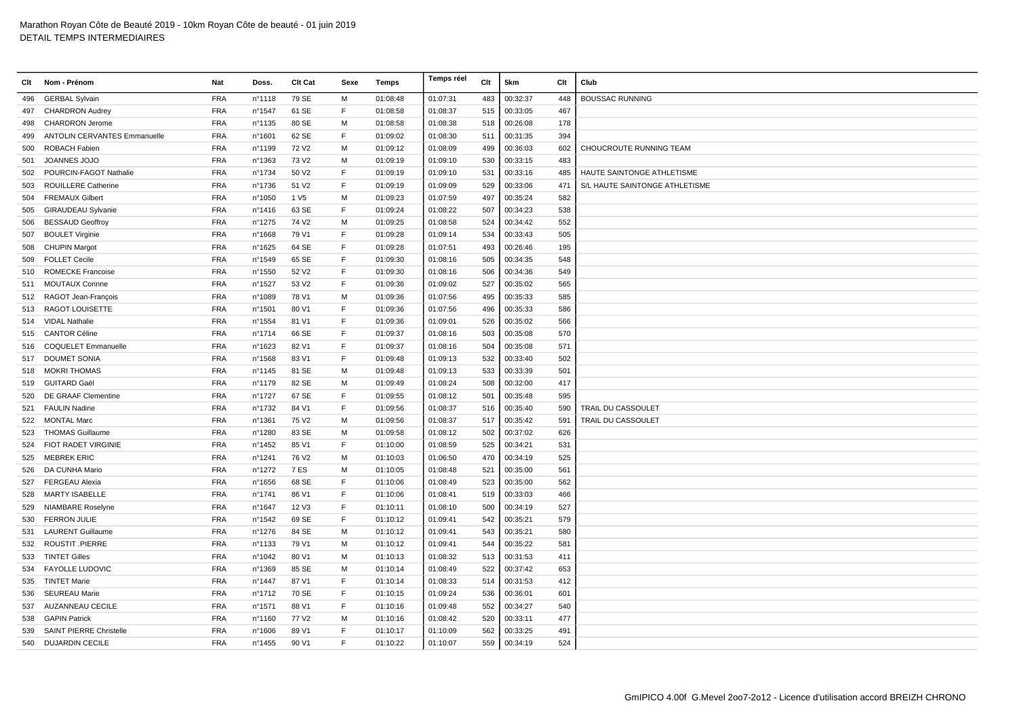| Clt | Nom - Prénom                        | Nat        | Doss.  | Clt Cat           | Sexe | Temps    | Temps réel | Clt | 5km      | Clt | Club                           |
|-----|-------------------------------------|------------|--------|-------------------|------|----------|------------|-----|----------|-----|--------------------------------|
| 496 | <b>GERBAL Sylvain</b>               | <b>FRA</b> | n°1118 | 79 SE             | M    | 01:08:48 | 01:07:31   | 483 | 00:32:37 | 448 | <b>BOUSSAC RUNNING</b>         |
| 497 | <b>CHARDRON Audrey</b>              | <b>FRA</b> | nº1547 | 61 SE             | F    | 01:08:58 | 01:08:37   | 515 | 00:33:05 | 467 |                                |
| 498 | <b>CHARDRON Jerome</b>              | <b>FRA</b> | n°1135 | 80 SE             | M    | 01:08:58 | 01:08:38   | 518 | 00:26:08 | 178 |                                |
| 499 | <b>ANTOLIN CERVANTES Emmanuelle</b> | <b>FRA</b> | n°1601 | 62 SE             | F    | 01:09:02 | 01:08:30   | 511 | 00:31:35 | 394 |                                |
| 500 | <b>ROBACH Fabien</b>                | <b>FRA</b> | n°1199 | 72 V <sub>2</sub> | M    | 01:09:12 | 01:08:09   | 499 | 00:36:03 | 602 | CHOUCROUTE RUNNING TEAM        |
| 501 | JOANNES JOJO                        | <b>FRA</b> | n°1363 | 73 V <sub>2</sub> | м    | 01:09:19 | 01:09:10   | 530 | 00:33:15 | 483 |                                |
| 502 | POURCIN-FAGOT Nathalie              | <b>FRA</b> | nº1734 | 50 V2             | F    | 01:09:19 | 01:09:10   | 531 | 00:33:16 | 485 | HAUTE SAINTONGE ATHLETISME     |
| 503 | <b>ROUILLERE Catherine</b>          | <b>FRA</b> | n°1736 | 51 V2             | F    | 01:09:19 | 01:09:09   | 529 | 00:33:06 | 471 | S/L HAUTE SAINTONGE ATHLETISME |
| 504 | <b>FREMAUX Gilbert</b>              | <b>FRA</b> | n°1050 | 1 V <sub>5</sub>  | м    | 01:09:23 | 01:07:59   | 497 | 00:35:24 | 582 |                                |
| 505 | <b>GIRAUDEAU Sylvanie</b>           | <b>FRA</b> | nº1416 | 63 SE             | E    | 01:09:24 | 01:08:22   | 507 | 00:34:23 | 538 |                                |
| 506 | <b>BESSAUD Geoffroy</b>             | <b>FRA</b> | n°1275 | 74 V <sub>2</sub> | M    | 01:09:25 | 01:08:58   | 524 | 00:34:42 | 552 |                                |
| 507 | <b>BOULET Virginie</b>              | <b>FRA</b> | n°1668 | 79 V1             | F    | 01:09:28 | 01:09:14   | 534 | 00:33:43 | 505 |                                |
| 508 | <b>CHUPIN Margot</b>                | <b>FRA</b> | n°1625 | 64 SE             | F    | 01:09:28 | 01:07:51   | 493 | 00:26:46 | 195 |                                |
| 509 | <b>FOLLET Cecile</b>                | <b>FRA</b> | n°1549 | 65 SE             | F    | 01:09:30 | 01:08:16   | 505 | 00:34:35 | 548 |                                |
| 510 | <b>ROMECKE Francoise</b>            | <b>FRA</b> | n°1550 | 52 V2             | F    | 01:09:30 | 01:08:16   | 506 | 00:34:36 | 549 |                                |
| 511 | <b>MOUTAUX Corinne</b>              | <b>FRA</b> | n°1527 | 53 V2             | E    | 01:09:36 | 01:09:02   | 527 | 00:35:02 | 565 |                                |
| 512 | RAGOT Jean-François                 | <b>FRA</b> | n°1089 | 78 V1             | M    | 01:09:36 | 01:07:56   | 495 | 00:35:33 | 585 |                                |
| 513 | <b>RAGOT LOUISETTE</b>              | <b>FRA</b> | n°1501 | 80 V1             | E    | 01:09:36 | 01:07:56   | 496 | 00:35:33 | 586 |                                |
|     | 514 VIDAL Nathalie                  | <b>FRA</b> | n°1554 | 81 V1             | F    | 01:09:36 | 01:09:01   | 526 | 00:35:02 | 566 |                                |
| 515 | <b>CANTOR Céline</b>                | <b>FRA</b> | nº1714 | 66 SE             | F    | 01:09:37 | 01:08:16   | 503 | 00:35:08 | 570 |                                |
|     | 516 COQUELET Emmanuelle             | <b>FRA</b> | n°1623 | 82 V1             | F    | 01:09:37 | 01:08:16   | 504 | 00:35:08 | 571 |                                |
| 517 | <b>DOUMET SONIA</b>                 | <b>FRA</b> | n°1568 | 83 V1             | F    | 01:09:48 | 01:09:13   | 532 | 00:33:40 | 502 |                                |
| 518 | <b>MOKRI THOMAS</b>                 | <b>FRA</b> | n°1145 | 81 SE             | M    | 01:09:48 | 01:09:13   | 533 | 00:33:39 | 501 |                                |
|     | 519 GUITARD Gaël                    | <b>FRA</b> | n°1179 | 82 SE             | M    | 01:09:49 | 01:08:24   | 508 | 00:32:00 | 417 |                                |
| 520 | DE GRAAF Clementine                 | <b>FRA</b> | n°1727 | 67 SE             | F    | 01:09:55 | 01:08:12   | 501 | 00:35:48 | 595 |                                |
| 521 | <b>FAULIN Nadine</b>                | <b>FRA</b> | n°1732 | 84 V1             | F    | 01:09:56 | 01:08:37   | 516 | 00:35:40 | 590 | TRAIL DU CASSOULET             |
|     | 522 MONTAL Marc                     | <b>FRA</b> | n°1361 | 75 V <sub>2</sub> | м    | 01:09:56 | 01:08:37   | 517 | 00:35:42 | 591 | TRAIL DU CASSOULET             |
| 523 | <b>THOMAS Guillaume</b>             | <b>FRA</b> | n°1280 | 83 SE             | M    | 01:09:58 | 01:08:12   | 502 | 00:37:02 | 626 |                                |
|     | 524 FIOT RADET VIRGINIE             | <b>FRA</b> | n°1452 | 85 V1             | E    | 01:10:00 | 01:08:59   | 525 | 00:34:21 | 531 |                                |
| 525 | <b>MEBREK ERIC</b>                  | <b>FRA</b> | nº1241 | 76 V <sub>2</sub> | м    | 01:10:03 | 01:06:50   | 470 | 00:34:19 | 525 |                                |
|     | 526 DA CUNHA Mario                  | <b>FRA</b> | n°1272 | 7 ES              | м    | 01:10:05 | 01:08:48   | 521 | 00:35:00 | 561 |                                |
| 527 | <b>FERGEAU Alexia</b>               | <b>FRA</b> | nº1656 | 68 SE             | F    | 01:10:06 | 01:08:49   | 523 | 00:35:00 | 562 |                                |
| 528 | <b>MARTY ISABELLE</b>               | <b>FRA</b> | nº1741 | 86 V1             | E    | 01:10:06 | 01:08:41   | 519 | 00:33:03 | 466 |                                |
|     | 529 NIAMBARE Roselyne               | <b>FRA</b> | n°1647 | 12 V3             | E    | 01:10:11 | 01:08:10   | 500 | 00:34:19 | 527 |                                |
| 530 | <b>FERRON JULIE</b>                 | <b>FRA</b> | n°1542 | 69 SE             | E    | 01:10:12 | 01:09:41   | 542 | 00:35:21 | 579 |                                |
| 531 | <b>LAURENT Guillaume</b>            | <b>FRA</b> | n°1276 | 84 SE             | м    | 01:10:12 | 01:09:41   | 543 | 00:35:21 | 580 |                                |
|     | 532 ROUSTIT .PIERRE                 | <b>FRA</b> | n°1133 | 79 V1             | M    | 01:10:12 | 01:09:41   | 544 | 00:35:22 | 581 |                                |
| 533 | <b>TINTET Gilles</b>                | <b>FRA</b> | n°1042 | 80 V1             | м    | 01:10:13 | 01:08:32   | 513 | 00:31:53 | 411 |                                |
| 534 | <b>FAYOLLE LUDOVIC</b>              | <b>FRA</b> | n°1369 | 85 SE             | м    | 01:10:14 | 01:08:49   | 522 | 00:37:42 | 653 |                                |
| 535 | <b>TINTET Marie</b>                 | <b>FRA</b> | n°1447 | 87 V1             | E    | 01:10:14 | 01:08:33   | 514 | 00:31:53 | 412 |                                |
| 536 | <b>SEUREAU Marie</b>                | <b>FRA</b> | n°1712 | 70 SE             | F    | 01:10:15 | 01:09:24   | 536 | 00:36:01 | 601 |                                |
| 537 | <b>AUZANNEAU CECILE</b>             | <b>FRA</b> | n°1571 | 88 V1             | F    | 01:10:16 | 01:09:48   | 552 | 00:34:27 | 540 |                                |
| 538 | <b>GAPIN Patrick</b>                | <b>FRA</b> | n°1160 | 77 V <sub>2</sub> | M    | 01:10:16 | 01:08:42   | 520 | 00:33:11 | 477 |                                |
| 539 | <b>SAINT PIERRE Christelle</b>      | <b>FRA</b> | n°1606 | 89 V1             | F    | 01:10:17 | 01:10:09   | 562 | 00:33:25 | 491 |                                |
|     | 540 DUJARDIN CECILE                 | <b>FRA</b> | n°1455 | 90 V1             | F    | 01:10:22 | 01:10:07   | 559 | 00:34:19 | 524 |                                |
|     |                                     |            |        |                   |      |          |            |     |          |     |                                |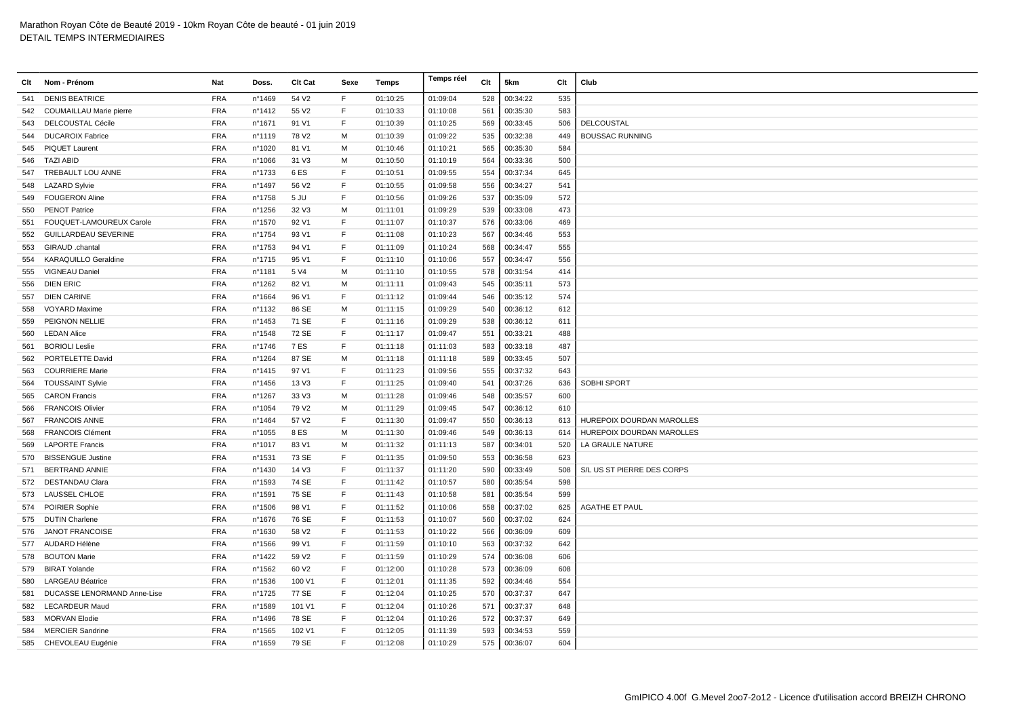| Clt | Nom - Prénom                | Nat        | Doss.            | Clt Cat           | Sexe        | Temps    | Temps réel | Clt | 5km      | Clt | Club                       |
|-----|-----------------------------|------------|------------------|-------------------|-------------|----------|------------|-----|----------|-----|----------------------------|
| 541 | <b>DENIS BEATRICE</b>       | <b>FRA</b> | n°1469           | 54 V2             | F.          | 01:10:25 | 01:09:04   | 528 | 00:34:22 | 535 |                            |
| 542 | COUMAILLAU Marie pierre     | <b>FRA</b> | n°1412           | 55 V2             | E           | 01:10:33 | 01:10:08   | 561 | 00:35:30 | 583 |                            |
| 543 | <b>DELCOUSTAL Cécile</b>    | <b>FRA</b> | n°1671           | 91 V1             | F           | 01:10:39 | 01:10:25   | 569 | 00:33:45 | 506 | DELCOUSTAL                 |
| 544 | <b>DUCAROIX Fabrice</b>     | <b>FRA</b> | n°1119           | 78 V2             | M           | 01:10:39 | 01:09:22   | 535 | 00:32:38 | 449 | <b>BOUSSAC RUNNING</b>     |
| 545 | <b>PIQUET Laurent</b>       | <b>FRA</b> | n°1020           | 81 V1             | M           | 01:10:46 | 01:10:21   | 565 | 00:35:30 | 584 |                            |
| 546 | <b>TAZI ABID</b>            | <b>FRA</b> | n°1066           | 31 V3             | M           | 01:10:50 | 01:10:19   | 564 | 00:33:36 | 500 |                            |
| 547 | TREBAULT LOU ANNE           | <b>FRA</b> | n°1733           | 6 ES              | F           | 01:10:51 | 01:09:55   | 554 | 00:37:34 | 645 |                            |
| 548 | <b>LAZARD Sylvie</b>        | <b>FRA</b> | n°1497           | 56 V2             | F           | 01:10:55 | 01:09:58   | 556 | 00:34:27 | 541 |                            |
| 549 | <b>FOUGERON Aline</b>       | <b>FRA</b> | n°1758           | 5 JU              | F           | 01:10:56 | 01:09:26   | 537 | 00:35:09 | 572 |                            |
| 550 | <b>PENOT Patrice</b>        | <b>FRA</b> | $n^{\circ}$ 1256 | 32 V3             | M           | 01:11:01 | 01:09:29   | 539 | 00:33:08 | 473 |                            |
| 551 | FOUQUET-LAMOUREUX Carole    | <b>FRA</b> | n°1570           | 92 V1             | F           | 01:11:07 | 01:10:37   | 576 | 00:33:06 | 469 |                            |
| 552 | <b>GUILLARDEAU SEVERINE</b> | <b>FRA</b> | n°1754           | 93 V1             | F           | 01:11:08 | 01:10:23   | 567 | 00:34:46 | 553 |                            |
| 553 | GIRAUD .chantal             | <b>FRA</b> | n°1753           | 94 V1             | F           | 01:11:09 | 01:10:24   | 568 | 00:34:47 | 555 |                            |
| 554 | <b>KARAQUILLO Geraldine</b> | <b>FRA</b> | n°1715           | 95 V1             | F           | 01:11:10 | 01:10:06   | 557 | 00:34:47 | 556 |                            |
| 555 | VIGNEAU Daniel              | <b>FRA</b> | n°1181           | 5 V4              | M           | 01:11:10 | 01:10:55   | 578 | 00:31:54 | 414 |                            |
| 556 | <b>DIEN ERIC</b>            | <b>FRA</b> | n°1262           | 82 V1             | M           | 01:11:11 | 01:09:43   | 545 | 00:35:11 | 573 |                            |
| 557 | <b>DIEN CARINE</b>          | <b>FRA</b> | n°1664           | 96 V1             | F           | 01:11:12 | 01:09:44   | 546 | 00:35:12 | 574 |                            |
| 558 | <b>VOYARD Maxime</b>        | <b>FRA</b> | n°1132           | 86 SE             | M           | 01:11:15 | 01:09:29   | 540 | 00:36:12 | 612 |                            |
| 559 | PEIGNON NELLIE              | <b>FRA</b> | n°1453           | 71 SE             | E           | 01:11:16 | 01:09:29   | 538 | 00:36:12 | 611 |                            |
| 560 | <b>LEDAN Alice</b>          | <b>FRA</b> | n°1548           | 72 SE             | F           | 01:11:17 | 01:09:47   | 551 | 00:33:21 | 488 |                            |
| 561 | <b>BORIOLI Leslie</b>       | <b>FRA</b> | n°1746           | 7 ES              | F           | 01:11:18 | 01:11:03   | 583 | 00:33:18 | 487 |                            |
| 562 | PORTELETTE David            | <b>FRA</b> | n°1264           | 87 SE             | M           | 01:11:18 | 01:11:18   | 589 | 00:33:45 | 507 |                            |
| 563 | <b>COURRIERE Marie</b>      | <b>FRA</b> | n°1415           | 97 V1             | F           | 01:11:23 | 01:09:56   | 555 | 00:37:32 | 643 |                            |
| 564 | <b>TOUSSAINT Sylvie</b>     | <b>FRA</b> | n°1456           | 13 V3             | F           | 01:11:25 | 01:09:40   | 541 | 00:37:26 | 636 | SOBHI SPORT                |
| 565 | <b>CARON Francis</b>        | <b>FRA</b> | n°1267           | 33 V3             | M           | 01:11:28 | 01:09:46   | 548 | 00:35:57 | 600 |                            |
| 566 | <b>FRANCOIS Olivier</b>     | <b>FRA</b> | n°1054           | 79 V <sub>2</sub> | M           | 01:11:29 | 01:09:45   | 547 | 00:36:12 | 610 |                            |
| 567 | <b>FRANCOIS ANNE</b>        | <b>FRA</b> | n°1464           | 57 V <sub>2</sub> | F           | 01:11:30 | 01:09:47   | 550 | 00:36:13 | 613 | HUREPOIX DOURDAN MAROLLES  |
| 568 | <b>FRANCOIS Clément</b>     | <b>FRA</b> | n°1055           | 8 ES              | M           | 01:11:30 | 01:09:46   | 549 | 00:36:13 | 614 | HUREPOIX DOURDAN MAROLLES  |
| 569 | <b>LAPORTE Francis</b>      | <b>FRA</b> | n°1017           | 83 V1             | M           | 01:11:32 | 01:11:13   | 587 | 00:34:01 | 520 | LA GRAULE NATURE           |
| 570 | <b>BISSENGUE Justine</b>    | <b>FRA</b> | n°1531           | 73 SE             | F           | 01:11:35 | 01:09:50   | 553 | 00:36:58 | 623 |                            |
| 571 | <b>BERTRAND ANNIE</b>       | <b>FRA</b> | n°1430           | 14 V3             | F           | 01:11:37 | 01:11:20   | 590 | 00:33:49 | 508 | S/L US ST PIERRE DES CORPS |
| 572 | <b>DESTANDAU Clara</b>      | <b>FRA</b> | n°1593           | 74 SE             | F           | 01:11:42 | 01:10:57   | 580 | 00:35:54 | 598 |                            |
|     | 573 LAUSSEL CHLOE           | <b>FRA</b> | n°1591           | 75 SE             | F           | 01:11:43 | 01:10:58   | 581 | 00:35:54 | 599 |                            |
|     | 574 POIRIER Sophie          | <b>FRA</b> | n°1506           | 98 V1             | F           | 01:11:52 | 01:10:06   | 558 | 00:37:02 | 625 | <b>AGATHE ET PAUL</b>      |
|     | 575 DUTIN Charlene          | <b>FRA</b> | n°1676           | 76 SE             | F           | 01:11:53 | 01:10:07   | 560 | 00:37:02 | 624 |                            |
| 576 | <b>JANOT FRANCOISE</b>      | <b>FRA</b> | n°1630           | 58 V2             | $\mathsf F$ | 01:11:53 | 01:10:22   | 566 | 00:36:09 | 609 |                            |
| 577 | AUDARD Hélène               | <b>FRA</b> | n°1566           | 99 V1             | F           | 01:11:59 | 01:10:10   | 563 | 00:37:32 | 642 |                            |
|     | 578 BOUTON Marie            | <b>FRA</b> | n°1422           | 59 V <sub>2</sub> | F           | 01:11:59 | 01:10:29   | 574 | 00:36:08 | 606 |                            |
| 579 | <b>BIRAT Yolande</b>        | <b>FRA</b> | n°1562           | 60 V <sub>2</sub> | F           | 01:12:00 | 01:10:28   | 573 | 00:36:09 | 608 |                            |
| 580 | <b>LARGEAU Béatrice</b>     | <b>FRA</b> | n°1536           | 100 V1            | F           | 01:12:01 | 01:11:35   | 592 | 00:34:46 | 554 |                            |
| 581 | DUCASSE LENORMAND Anne-Lise | <b>FRA</b> | n°1725           | 77 SE             | $\mathsf F$ | 01:12:04 | 01:10:25   | 570 | 00:37:37 | 647 |                            |
| 582 | <b>LECARDEUR Maud</b>       | <b>FRA</b> | n°1589           | 101 V1            | F           | 01:12:04 | 01:10:26   | 571 | 00:37:37 | 648 |                            |
| 583 | <b>MORVAN Elodie</b>        | <b>FRA</b> | n°1496           | 78 SE             | F           | 01:12:04 | 01:10:26   | 572 | 00:37:37 | 649 |                            |
| 584 | <b>MERCIER Sandrine</b>     | <b>FRA</b> | n°1565           | 102 V1            | F           | 01:12:05 | 01:11:39   | 593 | 00:34:53 | 559 |                            |
|     | 585 CHEVOLEAU Eugénie       | <b>FRA</b> | n°1659           | 79 SE             | E           | 01:12:08 | 01:10:29   | 575 | 00:36:07 | 604 |                            |
|     |                             |            |                  |                   |             |          |            |     |          |     |                            |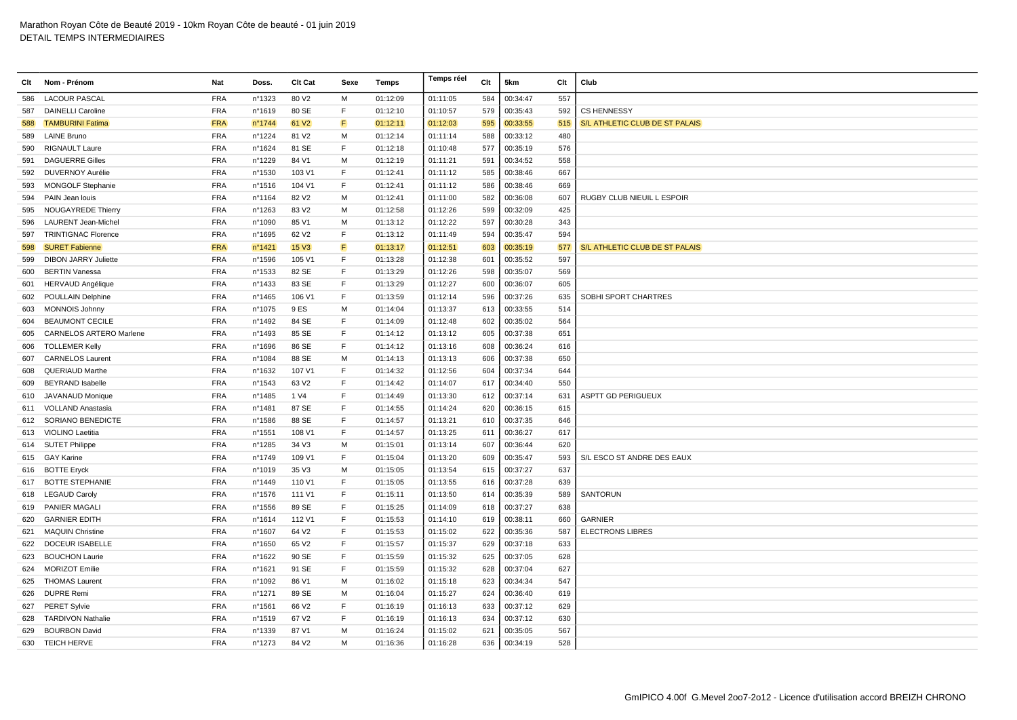| Clt | Nom - Prénom                   | Nat        | Doss.  | Clt Cat           | Sexe | Temps    | Temps réel | Clt | 5km      | Clt | Club                           |
|-----|--------------------------------|------------|--------|-------------------|------|----------|------------|-----|----------|-----|--------------------------------|
| 586 | <b>LACOUR PASCAL</b>           | <b>FRA</b> | n°1323 | 80 V <sub>2</sub> | M    | 01:12:09 | 01:11:05   | 584 | 00:34:47 | 557 |                                |
| 587 | <b>DAINELLI Caroline</b>       | <b>FRA</b> | n°1619 | 80 SE             | F    | 01:12:10 | 01:10:57   | 579 | 00:35:43 | 592 | <b>CS HENNESSY</b>             |
| 588 | <b>TAMBURINI Fatima</b>        | <b>FRA</b> | n°1744 | 61 V <sub>2</sub> | F    | 01:12:11 | 01:12:03   | 595 | 00:33:55 | 515 | S/L ATHLETIC CLUB DE ST PALAIS |
| 589 | <b>LAINE Bruno</b>             | <b>FRA</b> | n°1224 | 81 V2             | M    | 01:12:14 | 01:11:14   | 588 | 00:33:12 | 480 |                                |
| 590 | <b>RIGNAULT Laure</b>          | <b>FRA</b> | n°1624 | 81 SE             | F    | 01:12:18 | 01:10:48   | 577 | 00:35:19 | 576 |                                |
| 591 | <b>DAGUERRE Gilles</b>         | <b>FRA</b> | n°1229 | 84 V1             | M    | 01:12:19 | 01:11:21   | 591 | 00:34:52 | 558 |                                |
| 592 | <b>DUVERNOY Aurélie</b>        | <b>FRA</b> | n°1530 | 103 V1            | F    | 01:12:41 | 01:11:12   | 585 | 00:38:46 | 667 |                                |
| 593 | <b>MONGOLF Stephanie</b>       | <b>FRA</b> | n°1516 | 104 V1            | E    | 01:12:41 | 01:11:12   | 586 | 00:38:46 | 669 |                                |
| 594 | PAIN Jean louis                | <b>FRA</b> | n°1164 | 82 V <sub>2</sub> | M    | 01:12:41 | 01:11:00   | 582 | 00:36:08 | 607 | RUGBY CLUB NIEUIL L ESPOIR     |
| 595 | NOUGAYREDE Thierry             | <b>FRA</b> | n°1263 | 83 V2             | м    | 01:12:58 | 01:12:26   | 599 | 00:32:09 | 425 |                                |
| 596 | LAURENT Jean-Michel            | <b>FRA</b> | n°1090 | 85 V1             | M    | 01:13:12 | 01:12:22   | 597 | 00:30:28 | 343 |                                |
| 597 | <b>TRINTIGNAC Florence</b>     | <b>FRA</b> | n°1695 | 62 V <sub>2</sub> | F    | 01:13:12 | 01:11:49   | 594 | 00:35:47 | 594 |                                |
| 598 | <b>SURET Fabienne</b>          | <b>FRA</b> | n°1421 | <b>15 V3</b>      | F    | 01:13:17 | 01:12:51   | 603 | 00:35:19 | 577 | S/L ATHLETIC CLUB DE ST PALAIS |
| 599 | <b>DIBON JARRY Juliette</b>    | <b>FRA</b> | n°1596 | 105 V1            | E    | 01:13:28 | 01:12:38   | 601 | 00:35:52 | 597 |                                |
| 600 | <b>BERTIN Vanessa</b>          | <b>FRA</b> | n°1533 | 82 SE             | F    | 01:13:29 | 01:12:26   | 598 | 00:35:07 | 569 |                                |
| 601 | <b>HERVAUD Angélique</b>       | <b>FRA</b> | n°1433 | 83 SE             | F    | 01:13:29 | 01:12:27   | 600 | 00:36:07 | 605 |                                |
| 602 | POULLAIN Delphine              | <b>FRA</b> | n°1465 | 106 V1            | F    | 01:13:59 | 01:12:14   | 596 | 00:37:26 | 635 | SOBHI SPORT CHARTRES           |
| 603 | <b>MONNOIS Johnny</b>          | <b>FRA</b> | n°1075 | 9 ES              | M    | 01:14:04 | 01:13:37   | 613 | 00:33:55 | 514 |                                |
| 604 | <b>BEAUMONT CECILE</b>         | <b>FRA</b> | n°1492 | 84 SE             | F    | 01:14:09 | 01:12:48   | 602 | 00:35:02 | 564 |                                |
| 605 | <b>CARNELOS ARTERO Marlene</b> | <b>FRA</b> | n°1493 | 85 SE             | F    | 01:14:12 | 01:13:12   | 605 | 00:37:38 | 651 |                                |
| 606 | <b>TOLLEMER Kelly</b>          | <b>FRA</b> | n°1696 | 86 SE             | F    | 01:14:12 | 01:13:16   | 608 | 00:36:24 | 616 |                                |
| 607 | <b>CARNELOS Laurent</b>        | <b>FRA</b> | n°1084 | 88 SE             | м    | 01:14:13 | 01:13:13   | 606 | 00:37:38 | 650 |                                |
| 608 | <b>QUERIAUD Marthe</b>         | <b>FRA</b> | n°1632 | 107 V1            | F    | 01:14:32 | 01:12:56   | 604 | 00:37:34 | 644 |                                |
| 609 | <b>BEYRAND Isabelle</b>        | <b>FRA</b> | n°1543 | 63 V <sub>2</sub> | F    | 01:14:42 | 01:14:07   | 617 | 00:34:40 | 550 |                                |
| 610 | JAVANAUD Monique               | <b>FRA</b> | n°1485 | 1 V4              | F    | 01:14:49 | 01:13:30   | 612 | 00:37:14 | 631 | <b>ASPTT GD PERIGUEUX</b>      |
| 611 | <b>VOLLAND Anastasia</b>       | <b>FRA</b> | n°1481 | 87 SE             | F    | 01:14:55 | 01:14:24   | 620 | 00:36:15 | 615 |                                |
| 612 | <b>SORIANO BENEDICTE</b>       | <b>FRA</b> | n°1586 | 88 SE             | E    | 01:14:57 | 01:13:21   | 610 | 00:37:35 | 646 |                                |
| 613 | VIOLINO Laetitia               | <b>FRA</b> | n°1551 | 108 V1            | F    | 01:14:57 | 01:13:25   | 611 | 00:36:27 | 617 |                                |
| 614 | <b>SUTET Philippe</b>          | <b>FRA</b> | n°1285 | 34 V3             | м    | 01:15:01 | 01:13:14   | 607 | 00:36:44 | 620 |                                |
| 615 | <b>GAY Karine</b>              | <b>FRA</b> | nº1749 | 109 V1            | F    | 01:15:04 | 01:13:20   | 609 | 00:35:47 | 593 | S/L ESCO ST ANDRE DES EAUX     |
|     | 616 BOTTE Eryck                | <b>FRA</b> | n°1019 | 35 V3             | м    | 01:15:05 | 01:13:54   | 615 | 00:37:27 | 637 |                                |
|     | 617 BOTTE STEPHANIE            | <b>FRA</b> | n°1449 | 110 V1            | E    | 01:15:05 | 01:13:55   | 616 | 00:37:28 | 639 |                                |
|     | 618 LEGAUD Caroly              | <b>FRA</b> | n°1576 | 111 V1            | E    | 01:15:11 | 01:13:50   | 614 | 00:35:39 | 589 | <b>SANTORUN</b>                |
| 619 | <b>PANIER MAGALI</b>           | <b>FRA</b> | n°1556 | 89 SE             | F    | 01:15:25 | 01:14:09   | 618 | 00:37:27 | 638 |                                |
| 620 | <b>GARNIER EDITH</b>           | <b>FRA</b> | nº1614 | 112 V1            | F    | 01:15:53 | 01:14:10   | 619 | 00:38:11 | 660 | <b>GARNIER</b>                 |
| 621 | <b>MAQUIN Christine</b>        | <b>FRA</b> | n°1607 | 64 V2             | F    | 01:15:53 | 01:15:02   | 622 | 00:35:36 | 587 | <b>ELECTRONS LIBRES</b>        |
| 622 | <b>DOCEUR ISABELLE</b>         | <b>FRA</b> | nº1650 | 65 V2             | E    | 01:15:57 | 01:15:37   | 629 | 00:37:18 | 633 |                                |
| 623 | <b>BOUCHON Laurie</b>          | <b>FRA</b> | n°1622 | 90 SE             | E    | 01:15:59 | 01:15:32   | 625 | 00:37:05 | 628 |                                |
| 624 | <b>MORIZOT Emilie</b>          | <b>FRA</b> | nº1621 | 91 SE             | F    | 01:15:59 | 01:15:32   | 628 | 00:37:04 | 627 |                                |
| 625 | <b>THOMAS Laurent</b>          | <b>FRA</b> | n°1092 | 86 V1             | м    | 01:16:02 | 01:15:18   | 623 | 00:34:34 | 547 |                                |
| 626 | <b>DUPRE Remi</b>              | <b>FRA</b> | n°1271 | 89 SE             | M    | 01:16:04 | 01:15:27   | 624 | 00:36:40 | 619 |                                |
| 627 | <b>PERET Sylvie</b>            | <b>FRA</b> | n°1561 | 66 V <sub>2</sub> | E    | 01:16:19 | 01:16:13   | 633 | 00:37:12 | 629 |                                |
| 628 | <b>TARDIVON Nathalie</b>       | <b>FRA</b> | n°1519 | 67 V2             | F    | 01:16:19 | 01:16:13   | 634 | 00:37:12 | 630 |                                |
| 629 | <b>BOURBON David</b>           | <b>FRA</b> | n°1339 | 87 V1             | М    | 01:16:24 | 01:15:02   | 621 | 00:35:05 | 567 |                                |
|     | 630 TEICH HERVE                | <b>FRA</b> | n°1273 | 84 V2             | M    | 01:16:36 | 01:16:28   | 636 | 00:34:19 | 528 |                                |
|     |                                |            |        |                   |      |          |            |     |          |     |                                |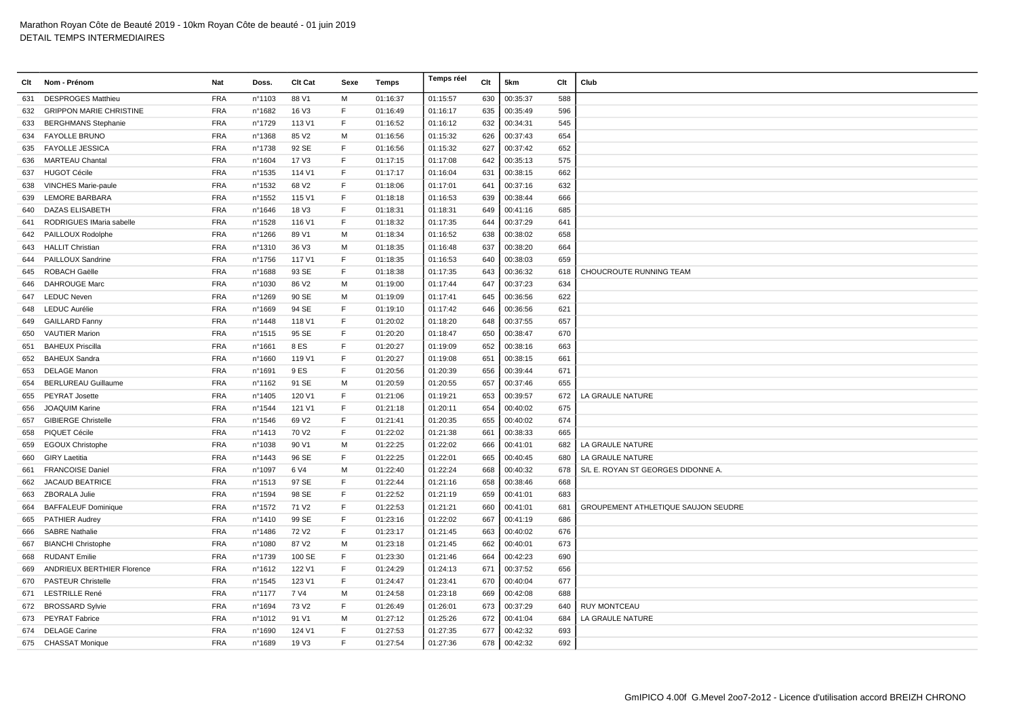| Clt | Nom - Prénom                      | Nat        | Doss.  | Clt Cat           | Sexe         | Temps    | Temps réel | Clt | 5km      | Clt | Club                                       |
|-----|-----------------------------------|------------|--------|-------------------|--------------|----------|------------|-----|----------|-----|--------------------------------------------|
| 631 | <b>DESPROGES Matthieu</b>         | <b>FRA</b> | n°1103 | 88 V1             | M            | 01:16:37 | 01:15:57   | 630 | 00:35:37 | 588 |                                            |
| 632 | <b>GRIPPON MARIE CHRISTINE</b>    | <b>FRA</b> | n°1682 | 16 V3             | F            | 01:16:49 | 01:16:17   | 635 | 00:35:49 | 596 |                                            |
| 633 | <b>BERGHMANS Stephanie</b>        | <b>FRA</b> | n°1729 | 113 V1            | E            | 01:16:52 | 01:16:12   | 632 | 00:34:31 | 545 |                                            |
|     | 634 FAYOLLE BRUNO                 | <b>FRA</b> | n°1368 | 85 V2             | M            | 01:16:56 | 01:15:32   | 626 | 00:37:43 | 654 |                                            |
| 635 | <b>FAYOLLE JESSICA</b>            | <b>FRA</b> | n°1738 | 92 SE             | E            | 01:16:56 | 01:15:32   | 627 | 00:37:42 | 652 |                                            |
| 636 | <b>MARTEAU Chantal</b>            | <b>FRA</b> | n°1604 | 17 V3             | F            | 01:17:15 | 01:17:08   | 642 | 00:35:13 | 575 |                                            |
| 637 | <b>HUGOT Cécile</b>               | <b>FRA</b> | n°1535 | 114 V1            | F            | 01:17:17 | 01:16:04   | 631 | 00:38:15 | 662 |                                            |
| 638 | VINCHES Marie-paule               | <b>FRA</b> | n°1532 | 68 V <sub>2</sub> | $\mathsf{F}$ | 01:18:06 | 01:17:01   | 641 | 00:37:16 | 632 |                                            |
| 639 | <b>LEMORE BARBARA</b>             | <b>FRA</b> | n°1552 | 115 V1            | F            | 01:18:18 | 01:16:53   | 639 | 00:38:44 | 666 |                                            |
| 640 | DAZAS ELISABETH                   | <b>FRA</b> | n°1646 | 18 V3             | E            | 01:18:31 | 01:18:31   | 649 | 00:41:16 | 685 |                                            |
| 641 | RODRIGUES IMaria sabelle          | <b>FRA</b> | n°1528 | 116 V1            | F            | 01:18:32 | 01:17:35   | 644 | 00:37:29 | 641 |                                            |
| 642 | PAILLOUX Rodolphe                 | <b>FRA</b> | n°1266 | 89 V1             | M            | 01:18:34 | 01:16:52   | 638 | 00:38:02 | 658 |                                            |
| 643 | <b>HALLIT Christian</b>           | <b>FRA</b> | n°1310 | 36 V3             | M            | 01:18:35 | 01:16:48   | 637 | 00:38:20 | 664 |                                            |
|     | 644 PAILLOUX Sandrine             | <b>FRA</b> | nº1756 | 117 V1            | E            | 01:18:35 | 01:16:53   | 640 | 00:38:03 | 659 |                                            |
| 645 | ROBACH Gaëlle                     | <b>FRA</b> | n°1688 | 93 SE             | F            | 01:18:38 | 01:17:35   | 643 | 00:36:32 | 618 | CHOUCROUTE RUNNING TEAM                    |
| 646 | <b>DAHROUGE Marc</b>              | <b>FRA</b> | n°1030 | 86 V2             | M            | 01:19:00 | 01:17:44   | 647 | 00:37:23 | 634 |                                            |
| 647 | <b>LEDUC Neven</b>                | <b>FRA</b> | n°1269 | 90 SE             | M            | 01:19:09 | 01:17:41   | 645 | 00:36:56 | 622 |                                            |
| 648 | <b>LEDUC Aurélie</b>              | <b>FRA</b> | n°1669 | 94 SE             | F            | 01:19:10 | 01:17:42   | 646 | 00:36:56 | 621 |                                            |
| 649 | <b>GAILLARD Fanny</b>             | <b>FRA</b> | n°1448 | 118 V1            | E            | 01:20:02 | 01:18:20   | 648 | 00:37:55 | 657 |                                            |
| 650 | <b>VAUTIER Marion</b>             | <b>FRA</b> | n°1515 | 95 SE             | F            | 01:20:20 | 01:18:47   | 650 | 00:38:47 | 670 |                                            |
| 651 | <b>BAHEUX Priscilla</b>           | <b>FRA</b> | n°1661 | 8 ES              | F            | 01:20:27 | 01:19:09   | 652 | 00:38:16 | 663 |                                            |
| 652 | <b>BAHEUX Sandra</b>              | <b>FRA</b> | n°1660 | 119 V1            | F            | 01:20:27 | 01:19:08   | 651 | 00:38:15 | 661 |                                            |
| 653 | <b>DELAGE Manon</b>               | <b>FRA</b> | n°1691 | 9 ES              | F            | 01:20:56 | 01:20:39   | 656 | 00:39:44 | 671 |                                            |
| 654 | <b>BERLUREAU Guillaume</b>        | <b>FRA</b> | nº1162 | 91 SE             | M            | 01:20:59 | 01:20:55   | 657 | 00:37:46 | 655 |                                            |
| 655 | PEYRAT Josette                    | <b>FRA</b> | n°1405 | 120 V1            | $\mathsf F$  | 01:21:06 | 01:19:21   | 653 | 00:39:57 | 672 | LA GRAULE NATURE                           |
| 656 | JOAQUIM Karine                    | <b>FRA</b> | n°1544 | 121 V1            | $\mathsf F$  | 01:21:18 | 01:20:11   | 654 | 00:40:02 | 675 |                                            |
| 657 | <b>GIBIERGE Christelle</b>        | <b>FRA</b> | n°1546 | 69 V <sub>2</sub> | E            | 01:21:41 | 01:20:35   | 655 | 00:40:02 | 674 |                                            |
| 658 | PIQUET Cécile                     | <b>FRA</b> | n°1413 | 70 V <sub>2</sub> | E            | 01:22:02 | 01:21:38   | 661 | 00:38:33 | 665 |                                            |
| 659 | <b>EGOUX Christophe</b>           | <b>FRA</b> | n°1038 | 90 V1             | M            | 01:22:25 | 01:22:02   | 666 | 00:41:01 | 682 | LA GRAULE NATURE                           |
| 660 | <b>GIRY Laetitia</b>              | <b>FRA</b> | n°1443 | 96 SE             | F            | 01:22:25 | 01:22:01   | 665 | 00:40:45 | 680 | LA GRAULE NATURE                           |
| 661 | <b>FRANCOISE Daniel</b>           | <b>FRA</b> | n°1097 | 6 V4              | M            | 01:22:40 | 01:22:24   | 668 | 00:40:32 | 678 | S/L E. ROYAN ST GEORGES DIDONNE A.         |
| 662 | <b>JACAUD BEATRICE</b>            | <b>FRA</b> | n°1513 | 97 SE             | E            | 01:22:44 | 01:21:16   | 658 | 00:38:46 | 668 |                                            |
| 663 | ZBORALA Julie                     | <b>FRA</b> | n°1594 | 98 SE             | F            | 01:22:52 | 01:21:19   | 659 | 00:41:01 | 683 |                                            |
| 664 | <b>BAFFALEUF Dominique</b>        | <b>FRA</b> | n°1572 | 71 V <sub>2</sub> | F            | 01:22:53 | 01:21:21   | 660 | 00:41:01 | 681 | <b>GROUPEMENT ATHLETIQUE SAUJON SEUDRE</b> |
|     | 665 PATHIER Audrey                | <b>FRA</b> | nº1410 | 99 SE             | F            | 01:23:16 | 01:22:02   | 667 | 00:41:19 | 686 |                                            |
| 666 | <b>SABRE Nathalie</b>             | <b>FRA</b> | n°1486 | 72 V <sub>2</sub> | F            | 01:23:17 | 01:21:45   | 663 | 00:40:02 | 676 |                                            |
| 667 | <b>BIANCHI Christophe</b>         | <b>FRA</b> | n°1080 | 87 V <sub>2</sub> | M            | 01:23:18 | 01:21:45   | 662 | 00:40:01 | 673 |                                            |
| 668 | <b>RUDANT Emilie</b>              | <b>FRA</b> | n°1739 | 100 SE            | F            | 01:23:30 | 01:21:46   | 664 | 00:42:23 | 690 |                                            |
| 669 | <b>ANDRIEUX BERTHIER Florence</b> | <b>FRA</b> | n°1612 | 122 V1            | F            | 01:24:29 | 01:24:13   | 671 | 00:37:52 | 656 |                                            |
| 670 | <b>PASTEUR Christelle</b>         | <b>FRA</b> | n°1545 | 123 V1            | F            | 01:24:47 | 01:23:41   | 670 | 00:40:04 | 677 |                                            |
| 671 | <b>LESTRILLE René</b>             | <b>FRA</b> | n°1177 | 7 V4              | M            | 01:24:58 | 01:23:18   | 669 | 00:42:08 | 688 |                                            |
| 672 | <b>BROSSARD Sylvie</b>            | <b>FRA</b> | n°1694 | 73 V <sub>2</sub> | F            | 01:26:49 | 01:26:01   | 673 | 00:37:29 | 640 | <b>RUY MONTCEAU</b>                        |
|     | 673 PEYRAT Fabrice                | <b>FRA</b> | n°1012 | 91 V1             | M            | 01:27:12 | 01:25:26   | 672 | 00:41:04 | 684 | LA GRAULE NATURE                           |
| 674 | <b>DELAGE Carine</b>              | <b>FRA</b> | n°1690 | 124 V1            | F            | 01:27:53 | 01:27:35   | 677 | 00:42:32 | 693 |                                            |
|     | 675 CHASSAT Monique               | <b>FRA</b> | n°1689 | 19 V3             | $\mathsf{F}$ | 01:27:54 | 01:27:36   | 678 | 00:42:32 | 692 |                                            |
|     |                                   |            |        |                   |              |          |            |     |          |     |                                            |